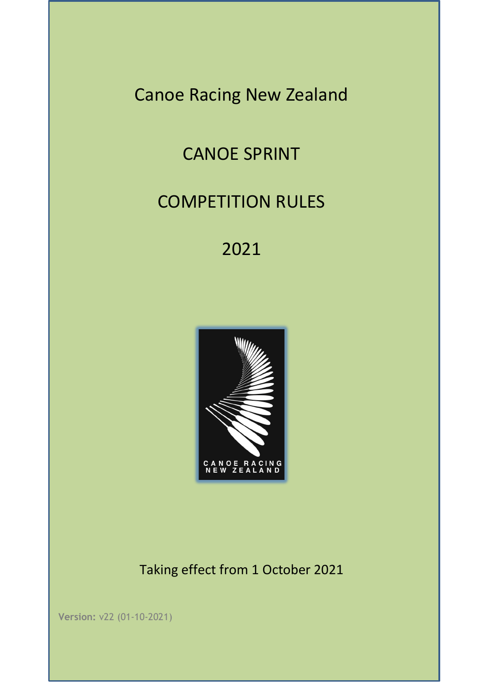Canoe Racing New Zealand

# CANOE SPRINT

# COMPETITION RULES

2021



Taking effect from 1 October 2021

**Version:** v22 (01-10-2021)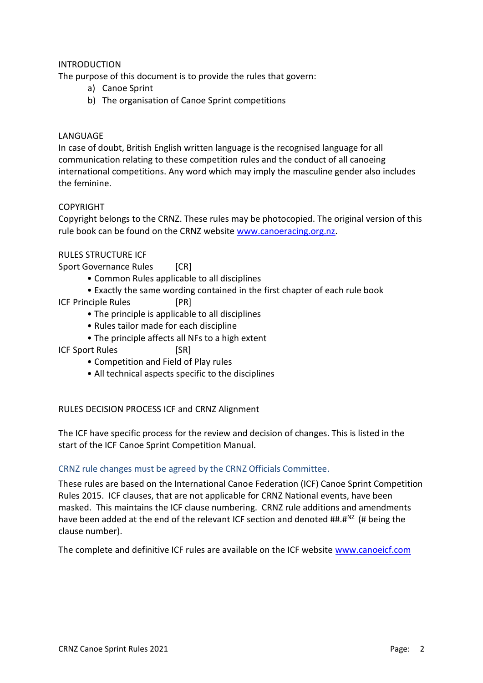# INTRODUCTION

The purpose of this document is to provide the rules that govern:

- a) Canoe Sprint
- b) The organisation of Canoe Sprint competitions

#### LANGUAGE

In case of doubt, British English written language is the recognised language for all communication relating to these competition rules and the conduct of all canoeing international competitions. Any word which may imply the masculine gender also includes the feminine.

# COPYRIGHT

Copyright belongs to the CRNZ. These rules may be photocopied. The original version of this rule book can be found on the CRNZ website [www.canoeracing.org.nz.](http://www.canoeracing.org.nz/)

# RULES STRUCTURE ICF

Sport Governance Rules [CR]

- Common Rules applicable to all disciplines
- Exactly the same wording contained in the first chapter of each rule book
- ICF Principle Rules [PR]
	- The principle is applicable to all disciplines
	- Rules tailor made for each discipline
	- The principle affects all NFs to a high extent
- ICF Sport Rules [SR]
	- Competition and Field of Play rules
	- All technical aspects specific to the disciplines

#### RULES DECISION PROCESS ICF and CRNZ Alignment

The ICF have specific process for the review and decision of changes. This is listed in the start of the ICF Canoe Sprint Competition Manual.

#### CRNZ rule changes must be agreed by the CRNZ Officials Committee.

These rules are based on the International Canoe Federation (ICF) Canoe Sprint Competition Rules 2015. ICF clauses, that are not applicable for CRNZ National events, have been masked. This maintains the ICF clause numbering. CRNZ rule additions and amendments have been added at the end of the relevant ICF section and denoted  $\mu^2$ .  $\mu^2$  (# being the clause number).

The complete and definitive ICF rules are available on the ICF website [www.canoeicf.com](http://www.canoeicf.com/)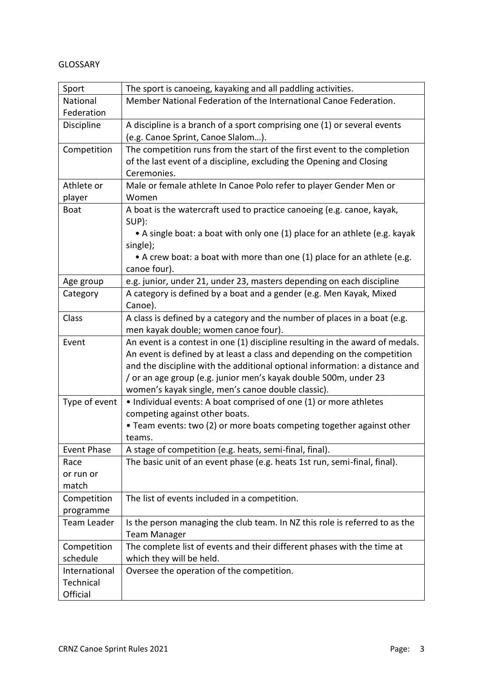#### GLOSSARY

| Sport              | The sport is canoeing, kayaking and all paddling activities.                  |
|--------------------|-------------------------------------------------------------------------------|
| National           | Member National Federation of the International Canoe Federation.             |
| Federation         |                                                                               |
| Discipline         | A discipline is a branch of a sport comprising one (1) or several events      |
|                    | (e.g. Canoe Sprint, Canoe Slalom).                                            |
| Competition        | The competition runs from the start of the first event to the completion      |
|                    | of the last event of a discipline, excluding the Opening and Closing          |
|                    | Ceremonies.                                                                   |
| Athlete or         | Male or female athlete In Canoe Polo refer to player Gender Men or            |
| player             | Women                                                                         |
| <b>Boat</b>        | A boat is the watercraft used to practice canoeing (e.g. canoe, kayak,        |
|                    | SUP):                                                                         |
|                    | • A single boat: a boat with only one (1) place for an athlete (e.g. kayak    |
|                    | single);                                                                      |
|                    | • A crew boat: a boat with more than one (1) place for an athlete (e.g.       |
|                    | canoe four).                                                                  |
| Age group          | e.g. junior, under 21, under 23, masters depending on each discipline         |
| Category           | A category is defined by a boat and a gender (e.g. Men Kayak, Mixed           |
|                    | Canoe).                                                                       |
| Class              | A class is defined by a category and the number of places in a boat (e.g.     |
|                    | men kayak double; women canoe four).                                          |
| Event              | An event is a contest in one (1) discipline resulting in the award of medals. |
|                    | An event is defined by at least a class and depending on the competition      |
|                    | and the discipline with the additional optional information: a distance and   |
|                    | / or an age group (e.g. junior men's kayak double 500m, under 23              |
|                    | women's kayak single, men's canoe double classic).                            |
| Type of event      | • Individual events: A boat comprised of one (1) or more athletes             |
|                    | competing against other boats.                                                |
|                    | • Team events: two (2) or more boats competing together against other         |
|                    | teams.                                                                        |
| <b>Event Phase</b> | A stage of competition (e.g. heats, semi-final, final).                       |
| Race               | The basic unit of an event phase (e.g. heats 1st run, semi-final, final).     |
| or run or          |                                                                               |
| match              |                                                                               |
| Competition        | The list of events included in a competition.                                 |
| programme          |                                                                               |
| Team Leader        | Is the person managing the club team. In NZ this role is referred to as the   |
|                    | <b>Team Manager</b>                                                           |
| Competition        | The complete list of events and their different phases with the time at       |
| schedule           | which they will be held.                                                      |
| International      | Oversee the operation of the competition.                                     |
| Technical          |                                                                               |
| Official           |                                                                               |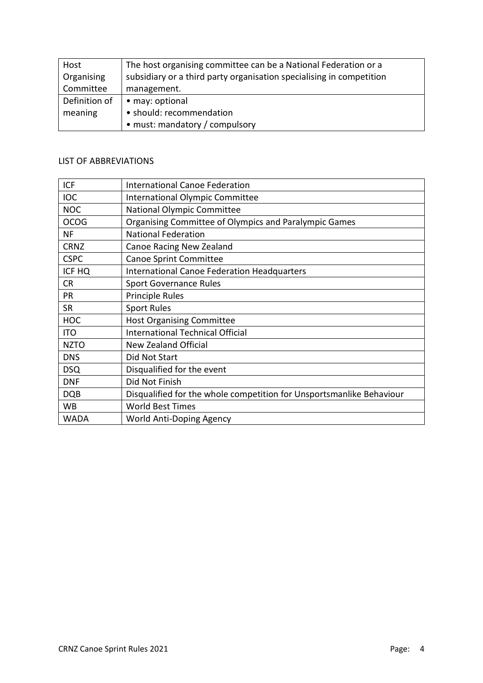| Host          | The host organising committee can be a National Federation or a      |
|---------------|----------------------------------------------------------------------|
| Organising    | subsidiary or a third party organisation specialising in competition |
| Committee     | management.                                                          |
| Definition of | • may: optional                                                      |
| meaning       | · should: recommendation                                             |
|               | • must: mandatory / compulsory                                       |

# LIST OF ABBREVIATIONS

| <b>ICF</b>  | <b>International Canoe Federation</b>                                |
|-------------|----------------------------------------------------------------------|
| <b>IOC</b>  | International Olympic Committee                                      |
| <b>NOC</b>  | <b>National Olympic Committee</b>                                    |
| <b>OCOG</b> | Organising Committee of Olympics and Paralympic Games                |
| <b>NF</b>   | <b>National Federation</b>                                           |
| <b>CRNZ</b> | Canoe Racing New Zealand                                             |
| <b>CSPC</b> | <b>Canoe Sprint Committee</b>                                        |
| ICF HQ      | <b>International Canoe Federation Headquarters</b>                   |
| <b>CR</b>   | <b>Sport Governance Rules</b>                                        |
| PR          | Principle Rules                                                      |
| <b>SR</b>   | <b>Sport Rules</b>                                                   |
| <b>HOC</b>  | <b>Host Organising Committee</b>                                     |
| <b>ITO</b>  | International Technical Official                                     |
| <b>NZTO</b> | <b>New Zealand Official</b>                                          |
| <b>DNS</b>  | Did Not Start                                                        |
| <b>DSQ</b>  | Disqualified for the event                                           |
| <b>DNF</b>  | Did Not Finish                                                       |
| <b>DQB</b>  | Disqualified for the whole competition for Unsportsmanlike Behaviour |
| WB          | <b>World Best Times</b>                                              |
| WADA        | World Anti-Doping Agency                                             |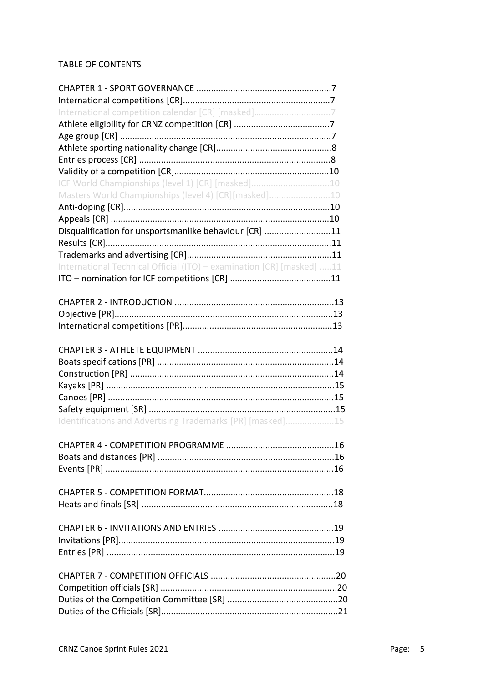# TABLE OF CONTENTS

| International competition calendar [CR] [masked]7                     |  |
|-----------------------------------------------------------------------|--|
|                                                                       |  |
|                                                                       |  |
|                                                                       |  |
|                                                                       |  |
|                                                                       |  |
| ICF World Championships (level 1) [CR] [masked]10                     |  |
| Masters World Championships (level 4) [CR][masked]10                  |  |
|                                                                       |  |
|                                                                       |  |
| Disqualification for unsportsmanlike behaviour [CR] 11                |  |
|                                                                       |  |
|                                                                       |  |
|                                                                       |  |
| International Technical Official (ITO) - examination [CR] [masked] 11 |  |
|                                                                       |  |
|                                                                       |  |
|                                                                       |  |
|                                                                       |  |
|                                                                       |  |
|                                                                       |  |
|                                                                       |  |
|                                                                       |  |
|                                                                       |  |
|                                                                       |  |
|                                                                       |  |
|                                                                       |  |
| Identifications and Advertising Trademarks [PR] [masked]15            |  |
|                                                                       |  |
|                                                                       |  |
|                                                                       |  |
|                                                                       |  |
|                                                                       |  |
|                                                                       |  |
|                                                                       |  |
|                                                                       |  |
|                                                                       |  |
|                                                                       |  |
|                                                                       |  |
|                                                                       |  |
|                                                                       |  |
|                                                                       |  |
|                                                                       |  |
|                                                                       |  |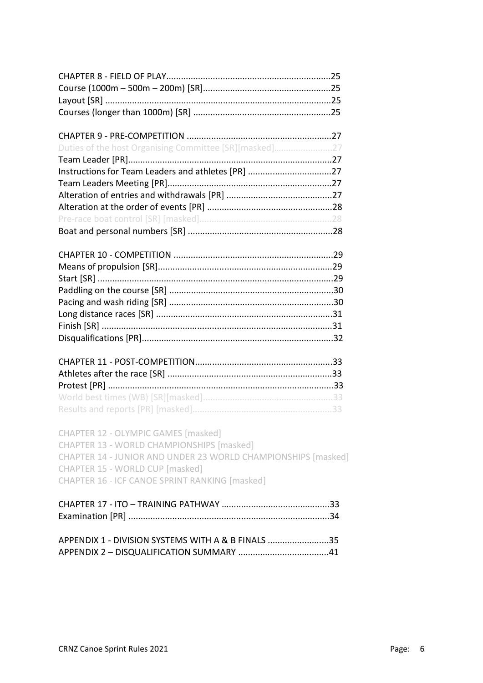| Duties of the host Organising Committee [SR][masked]27                           |  |
|----------------------------------------------------------------------------------|--|
|                                                                                  |  |
| Instructions for Team Leaders and athletes [PR] 27                               |  |
|                                                                                  |  |
|                                                                                  |  |
|                                                                                  |  |
|                                                                                  |  |
|                                                                                  |  |
|                                                                                  |  |
|                                                                                  |  |
|                                                                                  |  |
|                                                                                  |  |
|                                                                                  |  |
|                                                                                  |  |
|                                                                                  |  |
|                                                                                  |  |
|                                                                                  |  |
|                                                                                  |  |
|                                                                                  |  |
|                                                                                  |  |
|                                                                                  |  |
|                                                                                  |  |
|                                                                                  |  |
| CHAPTER 12 - OLYMPIC GAMES [masked]<br>CHAPTER 13 - WORLD CHAMPIONSHIPS [masked] |  |
| CHAPTER 14 - JUNIOR AND UNDER 23 WORLD CHAMPIONSHIPS [masked]                    |  |
| CHAPTER 15 - WORLD CUP [masked]                                                  |  |
| <b>CHAPTER 16 - ICF CANOE SPRINT RANKING [masked]</b>                            |  |
|                                                                                  |  |
|                                                                                  |  |
|                                                                                  |  |
|                                                                                  |  |
| APPENDIX 1 - DIVISION SYSTEMS WITH A & B FINALS 35                               |  |
|                                                                                  |  |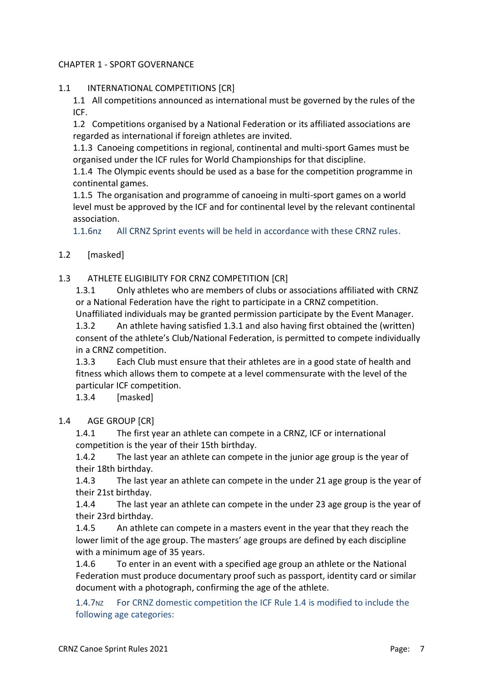# CHAPTER 1 - SPORT GOVERNANCE

# 1.1 INTERNATIONAL COMPETITIONS [CR]

1.1 All competitions announced as international must be governed by the rules of the ICF.

1.2 Competitions organised by a National Federation or its affiliated associations are regarded as international if foreign athletes are invited.

1.1.3 Canoeing competitions in regional, continental and multi-sport Games must be organised under the ICF rules for World Championships for that discipline.

1.1.4 The Olympic events should be used as a base for the competition programme in continental games.

1.1.5 The organisation and programme of canoeing in multi-sport games on a world level must be approved by the ICF and for continental level by the relevant continental association.

1.1.6nz All CRNZ Sprint events will be held in accordance with these CRNZ rules.

# 1.2 [masked]

# 1.3 ATHLETE ELIGIBILITY FOR CRNZ COMPETITION [CR]

1.3.1 Only athletes who are members of clubs or associations affiliated with CRNZ or a National Federation have the right to participate in a CRNZ competition.

Unaffiliated individuals may be granted permission participate by the Event Manager. 1.3.2 An athlete having satisfied 1.3.1 and also having first obtained the (written) consent of the athlete's Club/National Federation, is permitted to compete individually in a CRNZ competition.

1.3.3 Each Club must ensure that their athletes are in a good state of health and fitness which allows them to compete at a level commensurate with the level of the particular ICF competition.

1.3.4 [masked]

#### 1.4 AGE GROUP [CR]

1.4.1 The first year an athlete can compete in a CRNZ, ICF or international competition is the year of their 15th birthday.

1.4.2 The last year an athlete can compete in the junior age group is the year of their 18th birthday.

1.4.3 The last year an athlete can compete in the under 21 age group is the year of their 21st birthday.

1.4.4 The last year an athlete can compete in the under 23 age group is the year of their 23rd birthday.

1.4.5 An athlete can compete in a masters event in the year that they reach the lower limit of the age group. The masters' age groups are defined by each discipline with a minimum age of 35 years.

1.4.6 To enter in an event with a specified age group an athlete or the National Federation must produce documentary proof such as passport, identity card or similar document with a photograph, confirming the age of the athlete.

1.4.7NZ For CRNZ domestic competition the ICF Rule 1.4 is modified to include the following age categories: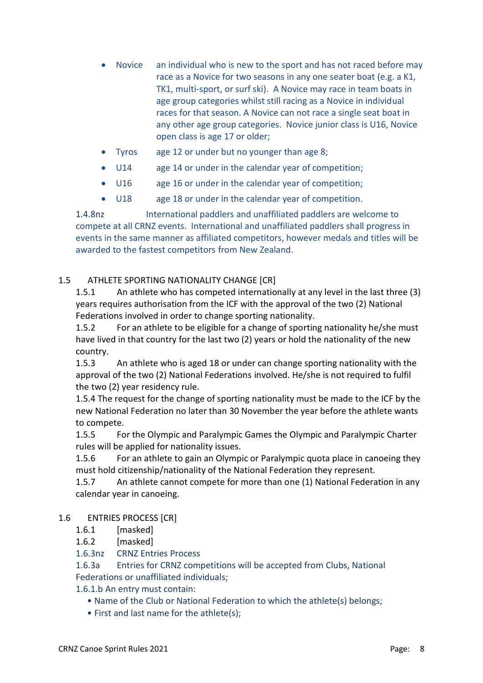- Novice an individual who is new to the sport and has not raced before may race as a Novice for two seasons in any one seater boat (e.g. a K1, TK1, multi-sport, or surf ski). A Novice may race in team boats in age group categories whilst still racing as a Novice in individual races for that season. A Novice can not race a single seat boat in any other age group categories. Novice junior class is U16, Novice open class is age 17 or older;
- Tyros age 12 or under but no younger than age 8;
- U14 age 14 or under in the calendar year of competition;
- U16 age 16 or under in the calendar year of competition;
- U18 age 18 or under in the calendar year of competition.

1.4.8nz International paddlers and unaffiliated paddlers are welcome to compete at all CRNZ events. International and unaffiliated paddlers shall progress in events in the same manner as affiliated competitors, however medals and titles will be awarded to the fastest competitors from New Zealand.

# 1.5 ATHLETE SPORTING NATIONALITY CHANGE [CR]

1.5.1 An athlete who has competed internationally at any level in the last three (3) years requires authorisation from the ICF with the approval of the two (2) National Federations involved in order to change sporting nationality.

1.5.2 For an athlete to be eligible for a change of sporting nationality he/she must have lived in that country for the last two (2) years or hold the nationality of the new country.

1.5.3 An athlete who is aged 18 or under can change sporting nationality with the approval of the two (2) National Federations involved. He/she is not required to fulfil the two (2) year residency rule.

1.5.4 The request for the change of sporting nationality must be made to the ICF by the new National Federation no later than 30 November the year before the athlete wants to compete.

1.5.5 For the Olympic and Paralympic Games the Olympic and Paralympic Charter rules will be applied for nationality issues.

1.5.6 For an athlete to gain an Olympic or Paralympic quota place in canoeing they must hold citizenship/nationality of the National Federation they represent.

1.5.7 An athlete cannot compete for more than one (1) National Federation in any calendar year in canoeing.

# 1.6 ENTRIES PROCESS [CR]

- 1.6.1 [masked]
- 1.6.2 [masked]

1.6.3nz CRNZ Entries Process

1.6.3a Entries for CRNZ competitions will be accepted from Clubs, National Federations or unaffiliated individuals;

1.6.1.b An entry must contain:

- Name of the Club or National Federation to which the athlete(s) belongs;
- First and last name for the athlete(s);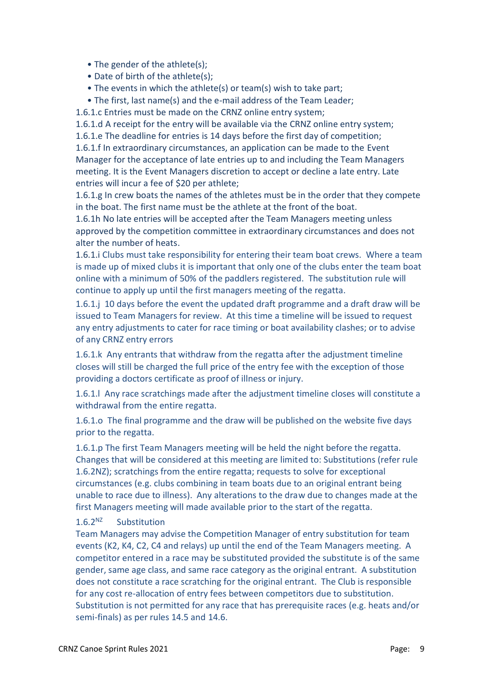- The gender of the athlete(s);
- Date of birth of the athlete(s);
- The events in which the athlete(s) or team(s) wish to take part;
- The first, last name(s) and the e-mail address of the Team Leader;

1.6.1.c Entries must be made on the CRNZ online entry system;

1.6.1.d A receipt for the entry will be available via the CRNZ online entry system;

1.6.1.e The deadline for entries is 14 days before the first day of competition;

1.6.1.f In extraordinary circumstances, an application can be made to the Event Manager for the acceptance of late entries up to and including the Team Managers meeting. It is the Event Managers discretion to accept or decline a late entry. Late entries will incur a fee of \$20 per athlete;

1.6.1.g In crew boats the names of the athletes must be in the order that they compete in the boat. The first name must be the athlete at the front of the boat.

1.6.1h No late entries will be accepted after the Team Managers meeting unless approved by the competition committee in extraordinary circumstances and does not alter the number of heats.

1.6.1.i Clubs must take responsibility for entering their team boat crews. Where a team is made up of mixed clubs it is important that only one of the clubs enter the team boat online with a minimum of 50% of the paddlers registered. The substitution rule will continue to apply up until the first managers meeting of the regatta.

1.6.1.j 10 days before the event the updated draft programme and a draft draw will be issued to Team Managers for review. At this time a timeline will be issued to request any entry adjustments to cater for race timing or boat availability clashes; or to advise of any CRNZ entry errors

1.6.1.k Any entrants that withdraw from the regatta after the adjustment timeline closes will still be charged the full price of the entry fee with the exception of those providing a doctors certificate as proof of illness or injury.

1.6.1.l Any race scratchings made after the adjustment timeline closes will constitute a withdrawal from the entire regatta.

1.6.1.o The final programme and the draw will be published on the website five days prior to the regatta.

1.6.1.p The first Team Managers meeting will be held the night before the regatta. Changes that will be considered at this meeting are limited to: Substitutions (refer rule 1.6.2NZ); scratchings from the entire regatta; requests to solve for exceptional circumstances (e.g. clubs combining in team boats due to an original entrant being unable to race due to illness). Any alterations to the draw due to changes made at the first Managers meeting will made available prior to the start of the regatta.

#### $1.6.2<sup>NZ</sup>$  Substitution

Team Managers may advise the Competition Manager of entry substitution for team events (K2, K4, C2, C4 and relays) up until the end of the Team Managers meeting. A competitor entered in a race may be substituted provided the substitute is of the same gender, same age class, and same race category as the original entrant. A substitution does not constitute a race scratching for the original entrant. The Club is responsible for any cost re-allocation of entry fees between competitors due to substitution. Substitution is not permitted for any race that has prerequisite races (e.g. heats and/or semi-finals) as per rules 14.5 and 14.6.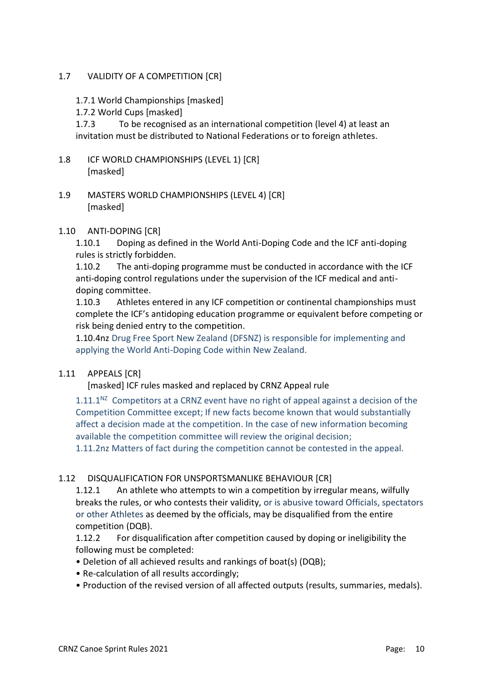# 1.7 VALIDITY OF A COMPETITION [CR]

- 1.7.1 World Championships [masked]
- 1.7.2 World Cups [masked]

1.7.3 To be recognised as an international competition (level 4) at least an invitation must be distributed to National Federations or to foreign athletes.

- 1.8 ICF WORLD CHAMPIONSHIPS (LEVEL 1) [CR] [masked]
- 1.9 MASTERS WORLD CHAMPIONSHIPS (LEVEL 4) [CR] [masked]

#### 1.10 ANTI-DOPING [CR]

1.10.1 Doping as defined in the World Anti-Doping Code and the ICF anti-doping rules is strictly forbidden.

1.10.2 The anti-doping programme must be conducted in accordance with the ICF anti-doping control regulations under the supervision of the ICF medical and antidoping committee.

1.10.3 Athletes entered in any ICF competition or continental championships must complete the ICF's antidoping education programme or equivalent before competing or risk being denied entry to the competition.

1.10.4nz Drug Free Sport New Zealand (DFSNZ) is responsible for implementing and applying the World Anti-Doping Code within New Zealand.

#### 1.11 APPEALS [CR]

[masked] ICF rules masked and replaced by CRNZ Appeal rule

 $1.11.1<sup>NZ</sup>$  Competitors at a CRNZ event have no right of appeal against a decision of the Competition Committee except; If new facts become known that would substantially affect a decision made at the competition. In the case of new information becoming available the competition committee will review the original decision;

1.11.2nz Matters of fact during the competition cannot be contested in the appeal.

#### 1.12 DISQUALIFICATION FOR UNSPORTSMANLIKE BEHAVIOUR [CR]

1.12.1 An athlete who attempts to win a competition by irregular means, wilfully breaks the rules, or who contests their validity, or is abusive toward Officials, spectators or other Athletes as deemed by the officials, may be disqualified from the entire competition (DQB).

1.12.2 For disqualification after competition caused by doping or ineligibility the following must be completed:

- Deletion of all achieved results and rankings of boat(s) (DQB);
- Re-calculation of all results accordingly;
- Production of the revised version of all affected outputs (results, summaries, medals).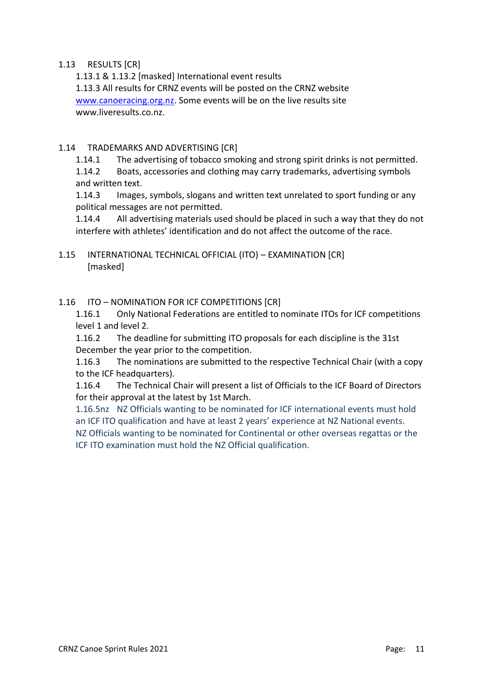#### 1.13 RESULTS [CR]

1.13.1 & 1.13.2 [masked] International event results 1.13.3 All results for CRNZ events will be posted on the CRNZ website [www.canoeracing.org.nz.](http://www.canoeracing.org.nz/) Some events will be on the live results site www.liveresults.co.nz.

# 1.14 TRADEMARKS AND ADVERTISING [CR]

1.14.1 The advertising of tobacco smoking and strong spirit drinks is not permitted.

1.14.2 Boats, accessories and clothing may carry trademarks, advertising symbols and written text.

1.14.3 Images, symbols, slogans and written text unrelated to sport funding or any political messages are not permitted.

1.14.4 All advertising materials used should be placed in such a way that they do not interfere with athletes' identification and do not affect the outcome of the race.

1.15 INTERNATIONAL TECHNICAL OFFICIAL (ITO) – EXAMINATION [CR] [masked]

1.16 ITO – NOMINATION FOR ICF COMPETITIONS [CR]

1.16.1 Only National Federations are entitled to nominate ITOs for ICF competitions level 1 and level 2.

1.16.2 The deadline for submitting ITO proposals for each discipline is the 31st December the year prior to the competition.

1.16.3 The nominations are submitted to the respective Technical Chair (with a copy to the ICF headquarters).

1.16.4 The Technical Chair will present a list of Officials to the ICF Board of Directors for their approval at the latest by 1st March.

1.16.5nz NZ Officials wanting to be nominated for ICF international events must hold an ICF ITO qualification and have at least 2 years' experience at NZ National events.

NZ Officials wanting to be nominated for Continental or other overseas regattas or the ICF ITO examination must hold the NZ Official qualification.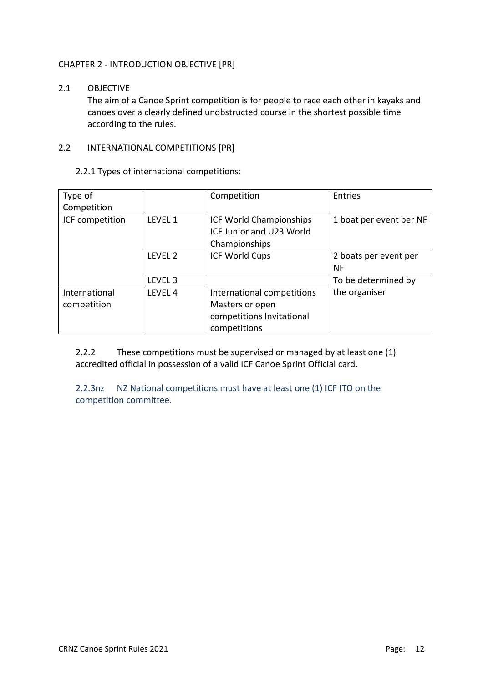# CHAPTER 2 - INTRODUCTION OBJECTIVE [PR]

# 2.1 OBJECTIVE

The aim of a Canoe Sprint competition is for people to race each other in kayaks and canoes over a clearly defined unobstructed course in the shortest possible time according to the rules.

#### 2.2 INTERNATIONAL COMPETITIONS [PR]

2.2.1 Types of international competitions:

| Type of<br>Competition       |                    | Competition                                                                                | Entries                     |
|------------------------------|--------------------|--------------------------------------------------------------------------------------------|-----------------------------|
| ICF competition              | LEVEL 1            | ICF World Championships<br>ICF Junior and U23 World<br>Championships                       | 1 boat per event per NF     |
|                              | LEVEL <sub>2</sub> | <b>ICF World Cups</b>                                                                      | 2 boats per event per<br>ΝF |
|                              | LEVEL <sub>3</sub> |                                                                                            | To be determined by         |
| International<br>competition | LEVEL <sub>4</sub> | International competitions<br>Masters or open<br>competitions Invitational<br>competitions | the organiser               |

2.2.2 These competitions must be supervised or managed by at least one (1) accredited official in possession of a valid ICF Canoe Sprint Official card.

2.2.3nz NZ National competitions must have at least one (1) ICF ITO on the competition committee.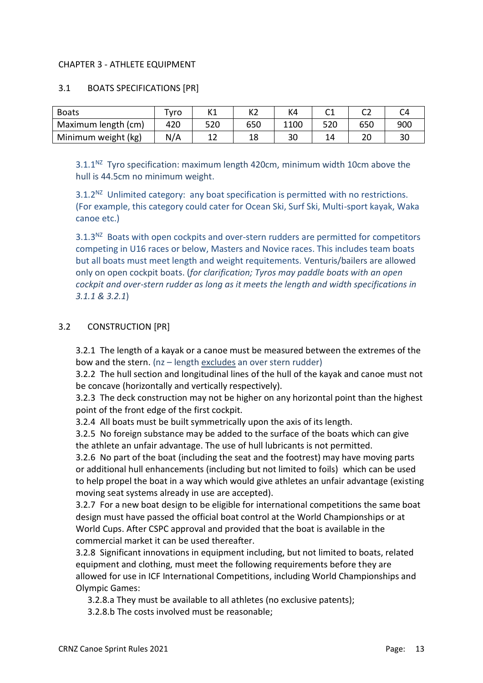#### CHAPTER 3 - ATHLETE EQUIPMENT

#### 3.1 BOATS SPECIFICATIONS [PR]

| <b>Boats</b>        | Tvro | 114<br>NΤ | K <sub>2</sub> | K4   |     |     |     |
|---------------------|------|-----------|----------------|------|-----|-----|-----|
| Maximum length (cm) | 420  | 520       | 650            | 1100 | 520 | 650 | 900 |
| Minimum weight (kg) | N/A  | --        | 18             | 30   | 14  |     | 30  |

 $3.1.1<sup>NZ</sup>$  Tyro specification: maximum length 420cm, minimum width 10cm above the hull is 44.5cm no minimum weight.

 $3.1.2<sup>NZ</sup>$  Unlimited category: any boat specification is permitted with no restrictions. (For example, this category could cater for Ocean Ski, Surf Ski, Multi-sport kayak, Waka canoe etc.)

 $3.1.3<sup>NZ</sup>$  Boats with open cockpits and over-stern rudders are permitted for competitors competing in U16 races or below, Masters and Novice races. This includes team boats but all boats must meet length and weight requitements. Venturis/bailers are allowed only on open cockpit boats. (*for clarification; Tyros may paddle boats with an open cockpit and over-stern rudder as long as it meets the length and width specifications in 3.1.1 & 3.2.1*)

# 3.2 CONSTRUCTION [PR]

3.2.1 The length of a kayak or a canoe must be measured between the extremes of the bow and the stern. (nz – length excludes an over stern rudder)

3.2.2 The hull section and longitudinal lines of the hull of the kayak and canoe must not be concave (horizontally and vertically respectively).

3.2.3 The deck construction may not be higher on any horizontal point than the highest point of the front edge of the first cockpit.

3.2.4 All boats must be built symmetrically upon the axis of its length.

3.2.5 No foreign substance may be added to the surface of the boats which can give the athlete an unfair advantage. The use of hull lubricants is not permitted.

3.2.6 No part of the boat (including the seat and the footrest) may have moving parts or additional hull enhancements (including but not limited to foils) which can be used to help propel the boat in a way which would give athletes an unfair advantage (existing moving seat systems already in use are accepted).

3.2.7 For a new boat design to be eligible for international competitions the same boat design must have passed the official boat control at the World Championships or at World Cups. After CSPC approval and provided that the boat is available in the commercial market it can be used thereafter.

3.2.8 Significant innovations in equipment including, but not limited to boats, related equipment and clothing, must meet the following requirements before they are allowed for use in ICF International Competitions, including World Championships and Olympic Games:

3.2.8.a They must be available to all athletes (no exclusive patents);

3.2.8.b The costs involved must be reasonable;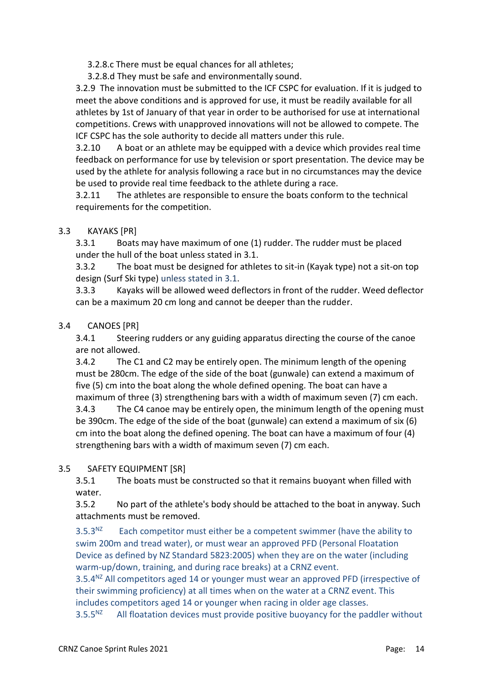3.2.8.c There must be equal chances for all athletes;

3.2.8.d They must be safe and environmentally sound.

3.2.9 The innovation must be submitted to the ICF CSPC for evaluation. If it is judged to meet the above conditions and is approved for use, it must be readily available for all athletes by 1st of January of that year in order to be authorised for use at international competitions. Crews with unapproved innovations will not be allowed to compete. The ICF CSPC has the sole authority to decide all matters under this rule.

3.2.10 A boat or an athlete may be equipped with a device which provides real time feedback on performance for use by television or sport presentation. The device may be used by the athlete for analysis following a race but in no circumstances may the device be used to provide real time feedback to the athlete during a race.

3.2.11 The athletes are responsible to ensure the boats conform to the technical requirements for the competition.

# 3.3 KAYAKS [PR]

3.3.1 Boats may have maximum of one (1) rudder. The rudder must be placed under the hull of the boat unless stated in 3.1.

3.3.2 The boat must be designed for athletes to sit-in (Kayak type) not a sit-on top design (Surf Ski type) unless stated in 3.1.

3.3.3 Kayaks will be allowed weed deflectors in front of the rudder. Weed deflector can be a maximum 20 cm long and cannot be deeper than the rudder.

# 3.4 CANOES [PR]

3.4.1 Steering rudders or any guiding apparatus directing the course of the canoe are not allowed.

3.4.2 The C1 and C2 may be entirely open. The minimum length of the opening must be 280cm. The edge of the side of the boat (gunwale) can extend a maximum of five (5) cm into the boat along the whole defined opening. The boat can have a maximum of three (3) strengthening bars with a width of maximum seven (7) cm each. 3.4.3 The C4 canoe may be entirely open, the minimum length of the opening must be 390cm. The edge of the side of the boat (gunwale) can extend a maximum of six (6) cm into the boat along the defined opening. The boat can have a maximum of four (4) strengthening bars with a width of maximum seven (7) cm each.

# 3.5 SAFETY EQUIPMENT [SR]

3.5.1 The boats must be constructed so that it remains buoyant when filled with water.

3.5.2 No part of the athlete's body should be attached to the boat in anyway. Such attachments must be removed.

 $3.5.3<sup>NZ</sup>$  Each competitor must either be a competent swimmer (have the ability to swim 200m and tread water), or must wear an approved PFD (Personal Floatation Device as defined by NZ Standard 5823:2005) when they are on the water (including warm-up/down, training, and during race breaks) at a CRNZ event.

 $3.5.4<sup>NZ</sup>$  All competitors aged 14 or younger must wear an approved PFD (irrespective of their swimming proficiency) at all times when on the water at a CRNZ event. This includes competitors aged 14 or younger when racing in older age classes.

 $3.5.5<sup>NZ</sup>$  All floatation devices must provide positive buoyancy for the paddler without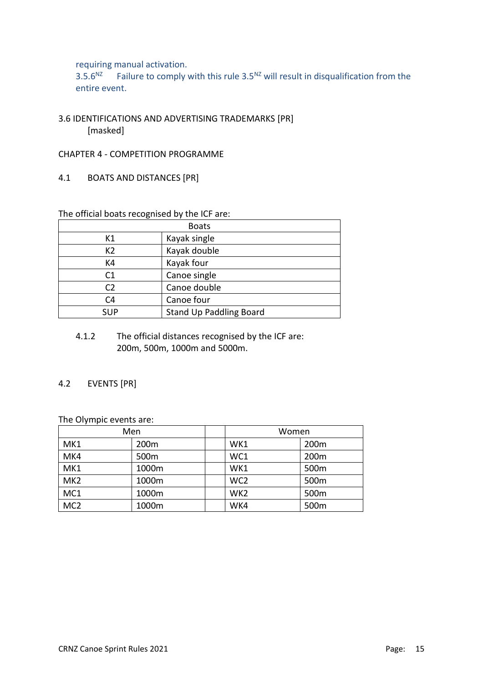requiring manual activation.<br> $3.5.6<sup>NZ</sup>$  Failure to comply

Failure to comply with this rule  $3.5^{NZ}$  will result in disqualification from the entire event.

- 3.6 IDENTIFICATIONS AND ADVERTISING TRADEMARKS [PR] [masked]
- CHAPTER 4 COMPETITION PROGRAMME
- 4.1 BOATS AND DISTANCES [PR]

The official boats recognised by the ICF are:

| <b>Boats</b>   |                                |  |  |  |
|----------------|--------------------------------|--|--|--|
| К1             | Kayak single                   |  |  |  |
| K <sub>2</sub> | Kayak double                   |  |  |  |
| K4             | Kayak four                     |  |  |  |
| C1             | Canoe single                   |  |  |  |
| C <sub>2</sub> | Canoe double                   |  |  |  |
| C <sub>4</sub> | Canoe four                     |  |  |  |
| <b>SUP</b>     | <b>Stand Up Paddling Board</b> |  |  |  |

4.1.2 The official distances recognised by the ICF are: 200m, 500m, 1000m and 5000m.

#### 4.2 EVENTS [PR]

The Olympic events are:

| Men             |                  | Women           |                  |  |
|-----------------|------------------|-----------------|------------------|--|
| MK1             | 200m             | WK1             | 200m             |  |
| MK4             | 500 <sub>m</sub> | WC1             | 200 <sub>m</sub> |  |
| MK1             | 1000m            | WK1             | 500 <sub>m</sub> |  |
| MK <sub>2</sub> | 1000m            | WC <sub>2</sub> | 500m             |  |
| MC1             | 1000m            | WK <sub>2</sub> | 500 <sub>m</sub> |  |
| MC <sub>2</sub> | 1000m            | WK4             | 500m             |  |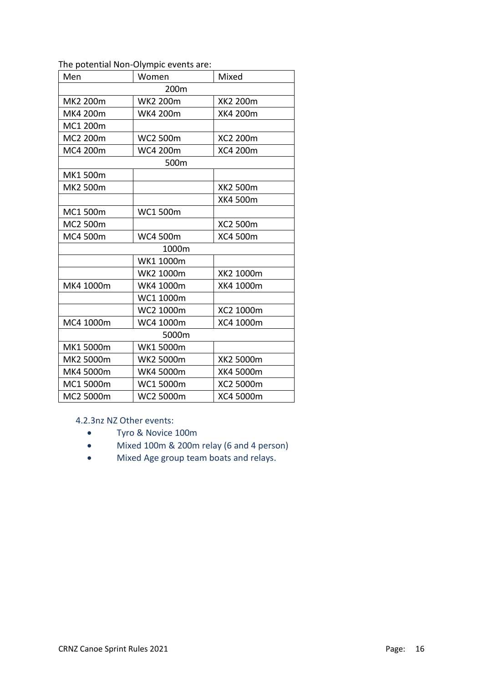#### The potential Non-Olympic events are:

| Men              | Women           | Mixed           |  |  |  |  |  |
|------------------|-----------------|-----------------|--|--|--|--|--|
| 200 <sub>m</sub> |                 |                 |  |  |  |  |  |
| MK2 200m         | <b>WK2 200m</b> | <b>XK2 200m</b> |  |  |  |  |  |
| MK4 200m         | WK4 200m        | <b>XK4 200m</b> |  |  |  |  |  |
| MC1 200m         |                 |                 |  |  |  |  |  |
| MC2 200m         | <b>WC2 500m</b> | XC2 200m        |  |  |  |  |  |
| MC4 200m         | WC4 200m        | XC4 200m        |  |  |  |  |  |
|                  | 500m            |                 |  |  |  |  |  |
| MK1 500m         |                 |                 |  |  |  |  |  |
| MK2 500m         |                 | <b>XK2 500m</b> |  |  |  |  |  |
|                  |                 | <b>XK4 500m</b> |  |  |  |  |  |
| MC1 500m         | <b>WC1500m</b>  |                 |  |  |  |  |  |
| MC2 500m         |                 | XC2 500m        |  |  |  |  |  |
| MC4 500m         | WC4 500m        | XC4 500m        |  |  |  |  |  |
|                  | 1000m           |                 |  |  |  |  |  |
|                  | WK1 1000m       |                 |  |  |  |  |  |
|                  | WK2 1000m       | XK2 1000m       |  |  |  |  |  |
| MK4 1000m        | WK4 1000m       | XK4 1000m       |  |  |  |  |  |
|                  | WC1 1000m       |                 |  |  |  |  |  |
|                  | WC2 1000m       | XC2 1000m       |  |  |  |  |  |
| MC4 1000m        | WC4 1000m       | XC4 1000m       |  |  |  |  |  |
|                  | 5000m           |                 |  |  |  |  |  |
| MK1 5000m        | WK1 5000m       |                 |  |  |  |  |  |
| MK2 5000m        | WK2 5000m       | XK2 5000m       |  |  |  |  |  |
| MK4 5000m        | WK4 5000m       | XK4 5000m       |  |  |  |  |  |
| MC1 5000m        | WC1 5000m       | XC2 5000m       |  |  |  |  |  |
| MC2 5000m        | WC2 5000m       | XC4 5000m       |  |  |  |  |  |

4.2.3nz NZ Other events:

- Tyro & Novice 100m
- Mixed 100m & 200m relay (6 and 4 person)
- Mixed Age group team boats and relays.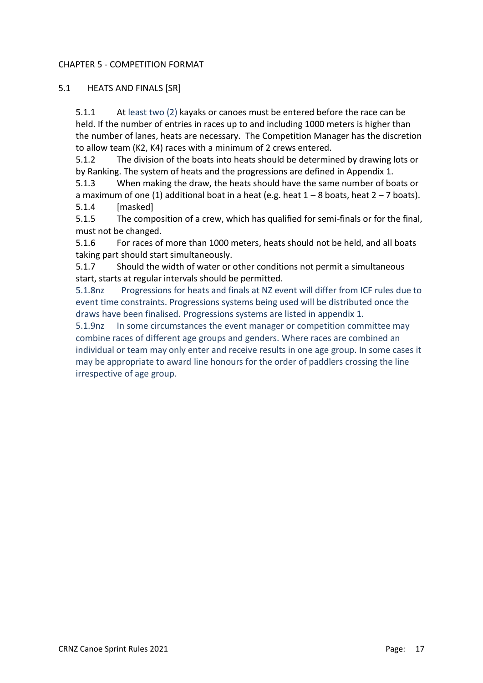#### CHAPTER 5 - COMPETITION FORMAT

#### 5.1 HEATS AND FINALS [SR]

5.1.1 At least two (2) kayaks or canoes must be entered before the race can be held. If the number of entries in races up to and including 1000 meters is higher than the number of lanes, heats are necessary. The Competition Manager has the discretion to allow team (K2, K4) races with a minimum of 2 crews entered.

5.1.2 The division of the boats into heats should be determined by drawing lots or by Ranking. The system of heats and the progressions are defined in Appendix 1.

5.1.3 When making the draw, the heats should have the same number of boats or a maximum of one (1) additional boat in a heat (e.g. heat  $1 - 8$  boats, heat  $2 - 7$  boats).

5.1.4 [masked]

5.1.5 The composition of a crew, which has qualified for semi-finals or for the final, must not be changed.

5.1.6 For races of more than 1000 meters, heats should not be held, and all boats taking part should start simultaneously.

5.1.7 Should the width of water or other conditions not permit a simultaneous start, starts at regular intervals should be permitted.

5.1.8nz Progressions for heats and finals at NZ event will differ from ICF rules due to event time constraints. Progressions systems being used will be distributed once the draws have been finalised. Progressions systems are listed in appendix 1.

5.1.9nz In some circumstances the event manager or competition committee may combine races of different age groups and genders. Where races are combined an individual or team may only enter and receive results in one age group. In some cases it may be appropriate to award line honours for the order of paddlers crossing the line irrespective of age group.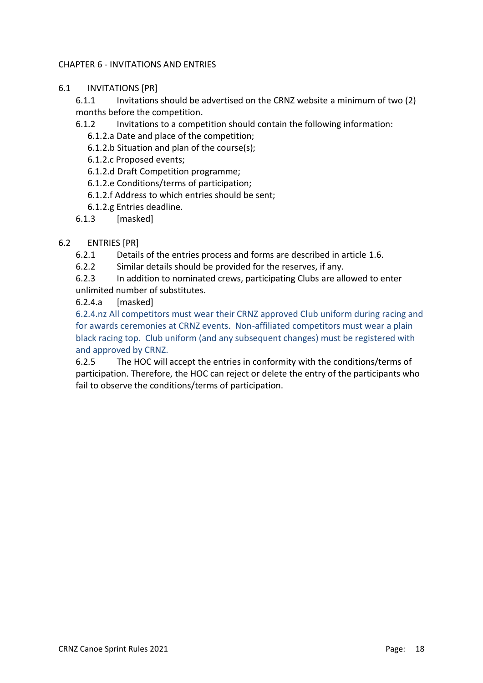# CHAPTER 6 - INVITATIONS AND ENTRIES

6.1 INVITATIONS [PR]

6.1.1 Invitations should be advertised on the CRNZ website a minimum of two (2) months before the competition.

- 6.1.2 Invitations to a competition should contain the following information:
	- 6.1.2.a Date and place of the competition;
	- 6.1.2.b Situation and plan of the course(s);
	- 6.1.2.c Proposed events;
	- 6.1.2.d Draft Competition programme;
	- 6.1.2.e Conditions/terms of participation;
	- 6.1.2.f Address to which entries should be sent;
	- 6.1.2.g Entries deadline.
- 6.1.3 [masked]

# 6.2 ENTRIES [PR]

- 6.2.1 Details of the entries process and forms are described in article 1.6.
- 6.2.2 Similar details should be provided for the reserves, if any.

6.2.3 In addition to nominated crews, participating Clubs are allowed to enter unlimited number of substitutes.

6.2.4.a [masked]

6.2.4.nz All competitors must wear their CRNZ approved Club uniform during racing and for awards ceremonies at CRNZ events. Non-affiliated competitors must wear a plain black racing top. Club uniform (and any subsequent changes) must be registered with and approved by CRNZ.

6.2.5 The HOC will accept the entries in conformity with the conditions/terms of participation. Therefore, the HOC can reject or delete the entry of the participants who fail to observe the conditions/terms of participation.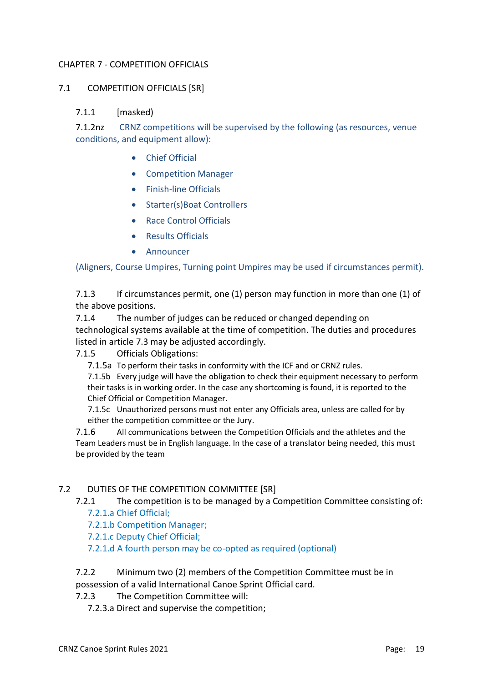# CHAPTER 7 - COMPETITION OFFICIALS

# 7.1 COMPETITION OFFICIALS [SR]

#### 7.1.1 [masked)

7.1.2nz CRNZ competitions will be supervised by the following (as resources, venue conditions, and equipment allow):

- Chief Official
- Competition Manager
- Finish-line Officials
- Starter(s)Boat Controllers
- Race Control Officials
- Results Officials
- Announcer

#### (Aligners, Course Umpires, Turning point Umpires may be used if circumstances permit).

7.1.3 If circumstances permit, one (1) person may function in more than one (1) of the above positions.

7.1.4 The number of judges can be reduced or changed depending on technological systems available at the time of competition. The duties and procedures listed in article 7.3 may be adjusted accordingly.

#### 7.1.5 Officials Obligations:

7.1.5a To perform their tasks in conformity with the ICF and or CRNZ rules.

7.1.5b Every judge will have the obligation to check their equipment necessary to perform their tasks is in working order. In the case any shortcoming is found, it is reported to the Chief Official or Competition Manager.

7.1.5c Unauthorized persons must not enter any Officials area, unless are called for by either the competition committee or the Jury.

7.1.6 All communications between the Competition Officials and the athletes and the Team Leaders must be in English language. In the case of a translator being needed, this must be provided by the team

#### 7.2 DUTIES OF THE COMPETITION COMMITTEE [SR]

7.2.1 The competition is to be managed by a Competition Committee consisting of:

- 7.2.1.a Chief Official;
- 7.2.1.b Competition Manager;
- 7.2.1.c Deputy Chief Official;

7.2.1.d A fourth person may be co-opted as required (optional)

# 7.2.2 Minimum two (2) members of the Competition Committee must be in possession of a valid International Canoe Sprint Official card.

7.2.3 The Competition Committee will:

7.2.3.a Direct and supervise the competition;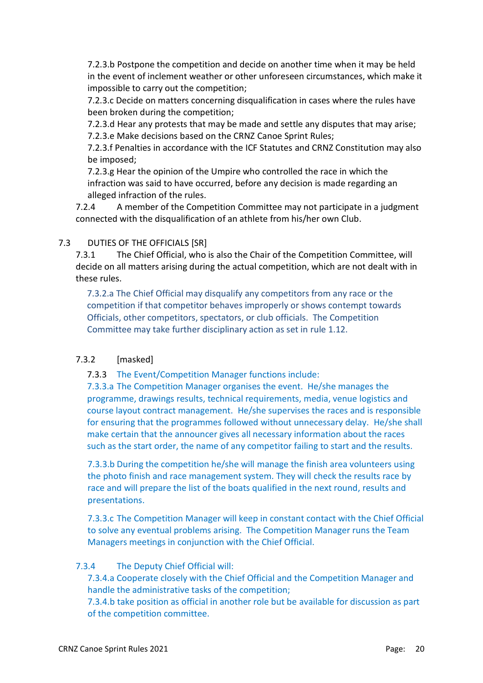7.2.3.b Postpone the competition and decide on another time when it may be held in the event of inclement weather or other unforeseen circumstances, which make it impossible to carry out the competition;

7.2.3.c Decide on matters concerning disqualification in cases where the rules have been broken during the competition;

7.2.3.d Hear any protests that may be made and settle any disputes that may arise; 7.2.3.e Make decisions based on the CRNZ Canoe Sprint Rules;

7.2.3.f Penalties in accordance with the ICF Statutes and CRNZ Constitution may also be imposed;

7.2.3.g Hear the opinion of the Umpire who controlled the race in which the infraction was said to have occurred, before any decision is made regarding an alleged infraction of the rules.

7.2.4 A member of the Competition Committee may not participate in a judgment connected with the disqualification of an athlete from his/her own Club.

# 7.3 DUTIES OF THE OFFICIALS [SR]

7.3.1 The Chief Official, who is also the Chair of the Competition Committee, will decide on all matters arising during the actual competition, which are not dealt with in these rules.

7.3.2.a The Chief Official may disqualify any competitors from any race or the competition if that competitor behaves improperly or shows contempt towards Officials, other competitors, spectators, or club officials. The Competition Committee may take further disciplinary action as set in rule 1.12.

# 7.3.2 [masked]

7.3.3 The Event/Competition Manager functions include:

7.3.3.a The Competition Manager organises the event. He/she manages the programme, drawings results, technical requirements, media, venue logistics and course layout contract management. He/she supervises the races and is responsible for ensuring that the programmes followed without unnecessary delay. He/she shall make certain that the announcer gives all necessary information about the races such as the start order, the name of any competitor failing to start and the results.

7.3.3.b During the competition he/she will manage the finish area volunteers using the photo finish and race management system. They will check the results race by race and will prepare the list of the boats qualified in the next round, results and presentations.

7.3.3.c The Competition Manager will keep in constant contact with the Chief Official to solve any eventual problems arising. The Competition Manager runs the Team Managers meetings in conjunction with the Chief Official.

# 7.3.4 The Deputy Chief Official will:

7.3.4.a Cooperate closely with the Chief Official and the Competition Manager and handle the administrative tasks of the competition;

7.3.4.b take position as official in another role but be available for discussion as part of the competition committee.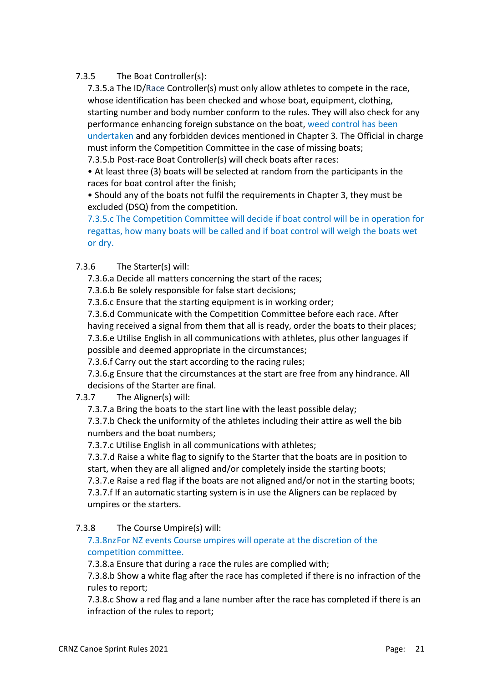# 7.3.5 The Boat Controller(s):

7.3.5.a The ID/Race Controller(s) must only allow athletes to compete in the race, whose identification has been checked and whose boat, equipment, clothing, starting number and body number conform to the rules. They will also check for any performance enhancing foreign substance on the boat, weed control has been undertaken and any forbidden devices mentioned in Chapter 3. The Official in charge must inform the Competition Committee in the case of missing boats;

7.3.5.b Post-race Boat Controller(s) will check boats after races:

• At least three (3) boats will be selected at random from the participants in the races for boat control after the finish;

• Should any of the boats not fulfil the requirements in Chapter 3, they must be excluded (DSQ) from the competition.

7.3.5.c The Competition Committee will decide if boat control will be in operation for regattas, how many boats will be called and if boat control will weigh the boats wet or dry.

# 7.3.6 The Starter(s) will:

7.3.6.a Decide all matters concerning the start of the races;

7.3.6.b Be solely responsible for false start decisions;

7.3.6.c Ensure that the starting equipment is in working order;

7.3.6.d Communicate with the Competition Committee before each race. After having received a signal from them that all is ready, order the boats to their places; 7.3.6.e Utilise English in all communications with athletes, plus other languages if possible and deemed appropriate in the circumstances;

7.3.6.f Carry out the start according to the racing rules;

7.3.6.g Ensure that the circumstances at the start are free from any hindrance. All decisions of the Starter are final.

# 7.3.7 The Aligner(s) will:

7.3.7.a Bring the boats to the start line with the least possible delay;

7.3.7.b Check the uniformity of the athletes including their attire as well the bib numbers and the boat numbers;

7.3.7.c Utilise English in all communications with athletes;

7.3.7.d Raise a white flag to signify to the Starter that the boats are in position to start, when they are all aligned and/or completely inside the starting boots; 7.3.7.e Raise a red flag if the boats are not aligned and/or not in the starting boots;

7.3.7.f If an automatic starting system is in use the Aligners can be replaced by umpires or the starters.

# 7.3.8 The Course Umpire(s) will:

# 7.3.8nzFor NZ events Course umpires will operate at the discretion of the competition committee.

7.3.8.a Ensure that during a race the rules are complied with;

7.3.8.b Show a white flag after the race has completed if there is no infraction of the rules to report;

7.3.8.c Show a red flag and a lane number after the race has completed if there is an infraction of the rules to report;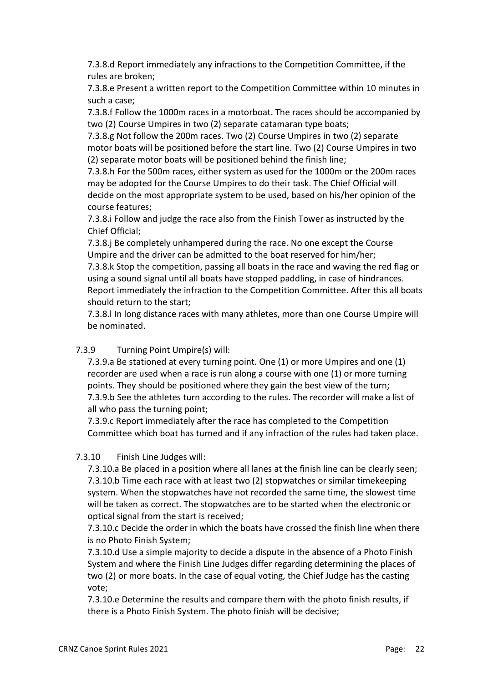7.3.8.d Report immediately any infractions to the Competition Committee, if the rules are broken;

7.3.8.e Present a written report to the Competition Committee within 10 minutes in such a case;

7.3.8.f Follow the 1000m races in a motorboat. The races should be accompanied by two (2) Course Umpires in two (2) separate catamaran type boats;

7.3.8.g Not follow the 200m races. Two (2) Course Umpires in two (2) separate motor boats will be positioned before the start line. Two (2) Course Umpires in two (2) separate motor boats will be positioned behind the finish line;

7.3.8.h For the 500m races, either system as used for the 1000m or the 200m races may be adopted for the Course Umpires to do their task. The Chief Official will decide on the most appropriate system to be used, based on his/her opinion of the course features;

7.3.8.i Follow and judge the race also from the Finish Tower as instructed by the Chief Official;

7.3.8.j Be completely unhampered during the race. No one except the Course Umpire and the driver can be admitted to the boat reserved for him/her;

7.3.8.k Stop the competition, passing all boats in the race and waving the red flag or using a sound signal until all boats have stopped paddling, in case of hindrances. Report immediately the infraction to the Competition Committee. After this all boats should return to the start;

7.3.8.l In long distance races with many athletes, more than one Course Umpire will be nominated.

# 7.3.9 Turning Point Umpire(s) will:

7.3.9.a Be stationed at every turning point. One (1) or more Umpires and one (1) recorder are used when a race is run along a course with one (1) or more turning points. They should be positioned where they gain the best view of the turn; 7.3.9.b See the athletes turn according to the rules. The recorder will make a list of all who pass the turning point;

7.3.9.c Report immediately after the race has completed to the Competition Committee which boat has turned and if any infraction of the rules had taken place.

# 7.3.10 Finish Line Judges will:

7.3.10.a Be placed in a position where all lanes at the finish line can be clearly seen; 7.3.10.b Time each race with at least two (2) stopwatches or similar timekeeping system. When the stopwatches have not recorded the same time, the slowest time will be taken as correct. The stopwatches are to be started when the electronic or optical signal from the start is received;

7.3.10.c Decide the order in which the boats have crossed the finish line when there is no Photo Finish System;

7.3.10.d Use a simple majority to decide a dispute in the absence of a Photo Finish System and where the Finish Line Judges differ regarding determining the places of two (2) or more boats. In the case of equal voting, the Chief Judge has the casting vote;

7.3.10.e Determine the results and compare them with the photo finish results, if there is a Photo Finish System. The photo finish will be decisive;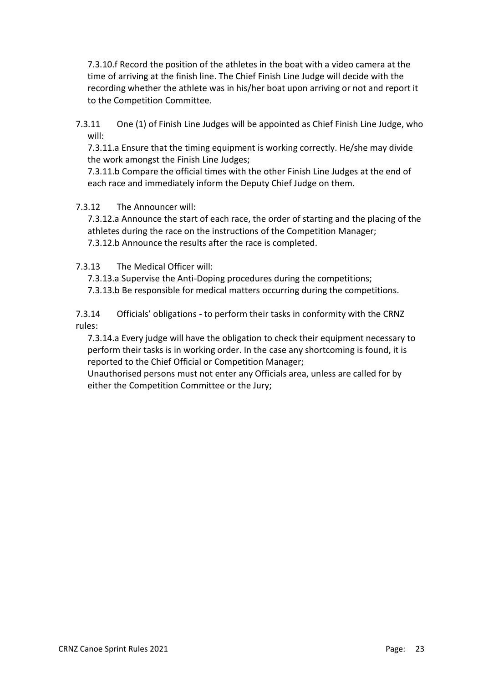7.3.10.f Record the position of the athletes in the boat with a video camera at the time of arriving at the finish line. The Chief Finish Line Judge will decide with the recording whether the athlete was in his/her boat upon arriving or not and report it to the Competition Committee.

7.3.11 One (1) of Finish Line Judges will be appointed as Chief Finish Line Judge, who will:

7.3.11.a Ensure that the timing equipment is working correctly. He/she may divide the work amongst the Finish Line Judges;

7.3.11.b Compare the official times with the other Finish Line Judges at the end of each race and immediately inform the Deputy Chief Judge on them.

# 7.3.12 The Announcer will:

7.3.12.a Announce the start of each race, the order of starting and the placing of the athletes during the race on the instructions of the Competition Manager; 7.3.12.b Announce the results after the race is completed.

7.3.13 The Medical Officer will:

7.3.13.a Supervise the Anti-Doping procedures during the competitions;

7.3.13.b Be responsible for medical matters occurring during the competitions.

7.3.14 Officials' obligations - to perform their tasks in conformity with the CRNZ rules:

7.3.14.a Every judge will have the obligation to check their equipment necessary to perform their tasks is in working order. In the case any shortcoming is found, it is reported to the Chief Official or Competition Manager;

Unauthorised persons must not enter any Officials area, unless are called for by either the Competition Committee or the Jury;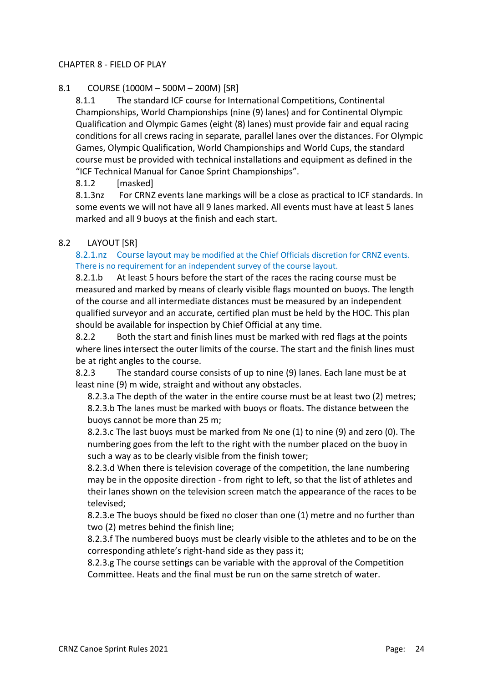# CHAPTER 8 - FIELD OF PLAY

# 8.1 COURSE (1000M – 500M – 200M) [SR]

8.1.1 The standard ICF course for International Competitions, Continental Championships, World Championships (nine (9) lanes) and for Continental Olympic Qualification and Olympic Games (eight (8) lanes) must provide fair and equal racing conditions for all crews racing in separate, parallel lanes over the distances. For Olympic Games, Olympic Qualification, World Championships and World Cups, the standard course must be provided with technical installations and equipment as defined in the "ICF Technical Manual for Canoe Sprint Championships".

8.1.2 [masked]

8.1.3nz For CRNZ events lane markings will be a close as practical to ICF standards. In some events we will not have all 9 lanes marked. All events must have at least 5 lanes marked and all 9 buoys at the finish and each start.

# 8.2 LAYOUT [SR]

8.2.1.nz Course layout may be modified at the Chief Officials discretion for CRNZ events. There is no requirement for an independent survey of the course layout.

8.2.1.b At least 5 hours before the start of the races the racing course must be measured and marked by means of clearly visible flags mounted on buoys. The length of the course and all intermediate distances must be measured by an independent qualified surveyor and an accurate, certified plan must be held by the HOC. This plan should be available for inspection by Chief Official at any time.

8.2.2 Both the start and finish lines must be marked with red flags at the points where lines intersect the outer limits of the course. The start and the finish lines must be at right angles to the course.

8.2.3 The standard course consists of up to nine (9) lanes. Each lane must be at least nine (9) m wide, straight and without any obstacles.

8.2.3.a The depth of the water in the entire course must be at least two (2) metres; 8.2.3.b The lanes must be marked with buoys or floats. The distance between the buoys cannot be more than 25 m;

8.2.3.c The last buoys must be marked from № one (1) to nine (9) and zero (0). The numbering goes from the left to the right with the number placed on the buoy in such a way as to be clearly visible from the finish tower;

8.2.3.d When there is television coverage of the competition, the lane numbering may be in the opposite direction - from right to left, so that the list of athletes and their lanes shown on the television screen match the appearance of the races to be televised;

8.2.3.e The buoys should be fixed no closer than one (1) metre and no further than two (2) metres behind the finish line;

8.2.3.f The numbered buoys must be clearly visible to the athletes and to be on the corresponding athlete's right-hand side as they pass it;

8.2.3.g The course settings can be variable with the approval of the Competition Committee. Heats and the final must be run on the same stretch of water.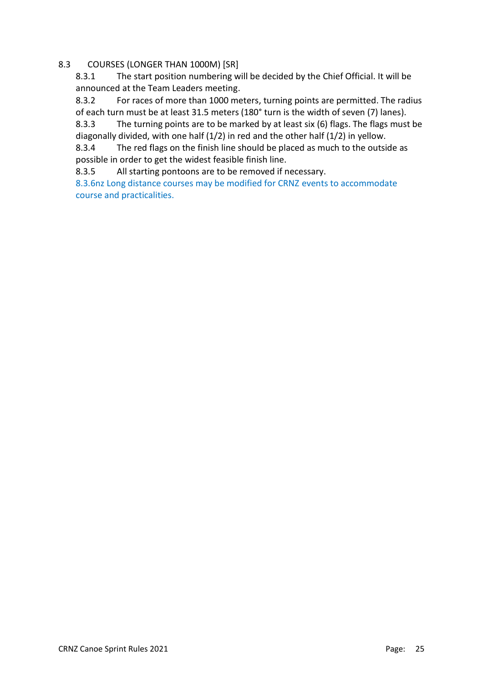# 8.3 COURSES (LONGER THAN 1000M) [SR]

8.3.1 The start position numbering will be decided by the Chief Official. It will be announced at the Team Leaders meeting.

8.3.2 For races of more than 1000 meters, turning points are permitted. The radius of each turn must be at least 31.5 meters (180° turn is the width of seven (7) lanes).

8.3.3 The turning points are to be marked by at least six (6) flags. The flags must be diagonally divided, with one half (1/2) in red and the other half (1/2) in yellow.

8.3.4 The red flags on the finish line should be placed as much to the outside as possible in order to get the widest feasible finish line.

8.3.5 All starting pontoons are to be removed if necessary.

8.3.6nz Long distance courses may be modified for CRNZ events to accommodate course and practicalities.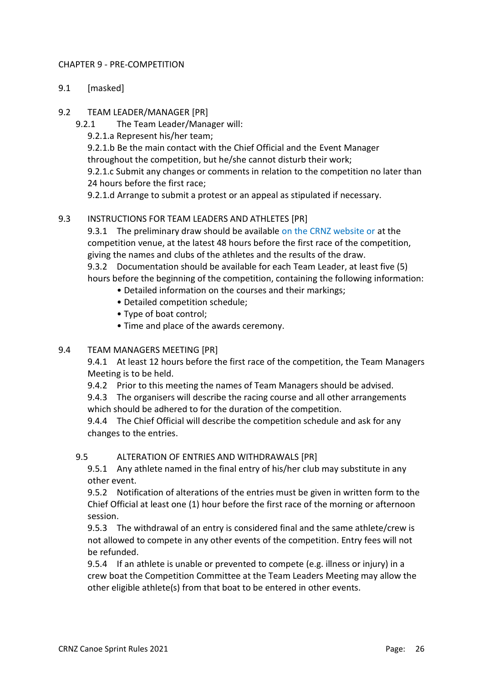# CHAPTER 9 - PRE-COMPETITION

- 9.1 [masked]
- 9.2 TEAM LEADER/MANAGER [PR]
	- 9.2.1 The Team Leader/Manager will:
		- 9.2.1.a Represent his/her team;

9.2.1.b Be the main contact with the Chief Official and the Event Manager

throughout the competition, but he/she cannot disturb their work;

9.2.1.c Submit any changes or comments in relation to the competition no later than 24 hours before the first race;

9.2.1.d Arrange to submit a protest or an appeal as stipulated if necessary.

# 9.3 INSTRUCTIONS FOR TEAM LEADERS AND ATHLETES [PR]

9.3.1 The preliminary draw should be available on the CRNZ website or at the competition venue, at the latest 48 hours before the first race of the competition, giving the names and clubs of the athletes and the results of the draw.

9.3.2 Documentation should be available for each Team Leader, at least five (5) hours before the beginning of the competition, containing the following information:

- Detailed information on the courses and their markings;
- Detailed competition schedule;
- Type of boat control;
- Time and place of the awards ceremony.

# 9.4 TEAM MANAGERS MEETING [PR]

9.4.1 At least 12 hours before the first race of the competition, the Team Managers Meeting is to be held.

9.4.2 Prior to this meeting the names of Team Managers should be advised.

9.4.3 The organisers will describe the racing course and all other arrangements which should be adhered to for the duration of the competition.

9.4.4 The Chief Official will describe the competition schedule and ask for any changes to the entries.

# 9.5 ALTERATION OF ENTRIES AND WITHDRAWALS [PR]

9.5.1 Any athlete named in the final entry of his/her club may substitute in any other event.

9.5.2 Notification of alterations of the entries must be given in written form to the Chief Official at least one (1) hour before the first race of the morning or afternoon session.

9.5.3 The withdrawal of an entry is considered final and the same athlete/crew is not allowed to compete in any other events of the competition. Entry fees will not be refunded.

9.5.4 If an athlete is unable or prevented to compete (e.g. illness or injury) in a crew boat the Competition Committee at the Team Leaders Meeting may allow the other eligible athlete(s) from that boat to be entered in other events.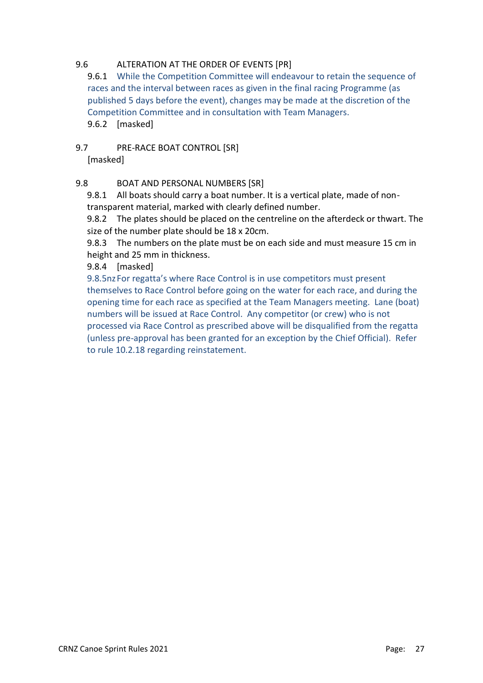# 9.6 ALTERATION AT THE ORDER OF EVENTS [PR]

9.6.1 While the Competition Committee will endeavour to retain the sequence of races and the interval between races as given in the final racing Programme (as published 5 days before the event), changes may be made at the discretion of the Competition Committee and in consultation with Team Managers. 9.6.2 [masked]

9.7 PRE-RACE BOAT CONTROL [SR] [masked]

# 9.8 BOAT AND PERSONAL NUMBERS [SR]

9.8.1 All boats should carry a boat number. It is a vertical plate, made of nontransparent material, marked with clearly defined number.

9.8.2 The plates should be placed on the centreline on the afterdeck or thwart. The size of the number plate should be 18 x 20cm.

9.8.3 The numbers on the plate must be on each side and must measure 15 cm in height and 25 mm in thickness.

9.8.4 [masked]

9.8.5nzFor regatta's where Race Control is in use competitors must present themselves to Race Control before going on the water for each race, and during the opening time for each race as specified at the Team Managers meeting. Lane (boat) numbers will be issued at Race Control. Any competitor (or crew) who is not processed via Race Control as prescribed above will be disqualified from the regatta (unless pre-approval has been granted for an exception by the Chief Official). Refer to rule 10.2.18 regarding reinstatement.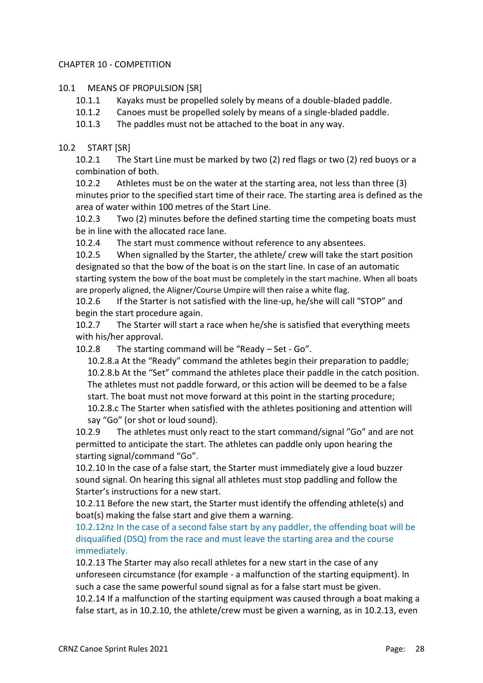# CHAPTER 10 - COMPETITION

#### 10.1 MEANS OF PROPULSION [SR]

- 10.1.1 Kayaks must be propelled solely by means of a double-bladed paddle.
- 10.1.2 Canoes must be propelled solely by means of a single-bladed paddle.
- 10.1.3 The paddles must not be attached to the boat in any way.

# 10.2 START [SR]

10.2.1 The Start Line must be marked by two (2) red flags or two (2) red buoys or a combination of both.

10.2.2 Athletes must be on the water at the starting area, not less than three (3) minutes prior to the specified start time of their race. The starting area is defined as the area of water within 100 metres of the Start Line.

10.2.3 Two (2) minutes before the defined starting time the competing boats must be in line with the allocated race lane.

10.2.4 The start must commence without reference to any absentees.

10.2.5 When signalled by the Starter, the athlete/ crew will take the start position designated so that the bow of the boat is on the start line. In case of an automatic starting system the bow of the boat must be completely in the start machine. When all boats are properly aligned, the Aligner/Course Umpire will then raise a white flag.

10.2.6 If the Starter is not satisfied with the line-up, he/she will call "STOP" and begin the start procedure again.

10.2.7 The Starter will start a race when he/she is satisfied that everything meets with his/her approval.

10.2.8 The starting command will be "Ready – Set - Go".

10.2.8.a At the "Ready" command the athletes begin their preparation to paddle; 10.2.8.b At the "Set" command the athletes place their paddle in the catch position. The athletes must not paddle forward, or this action will be deemed to be a false start. The boat must not move forward at this point in the starting procedure; 10.2.8.c The Starter when satisfied with the athletes positioning and attention will say "Go" (or shot or loud sound).

10.2.9 The athletes must only react to the start command/signal "Go" and are not permitted to anticipate the start. The athletes can paddle only upon hearing the starting signal/command "Go".

10.2.10 In the case of a false start, the Starter must immediately give a loud buzzer sound signal. On hearing this signal all athletes must stop paddling and follow the Starter's instructions for a new start.

10.2.11 Before the new start, the Starter must identify the offending athlete(s) and boat(s) making the false start and give them a warning.

10.2.12nz In the case of a second false start by any paddler, the offending boat will be disqualified (DSQ) from the race and must leave the starting area and the course immediately.

10.2.13 The Starter may also recall athletes for a new start in the case of any unforeseen circumstance (for example - a malfunction of the starting equipment). In such a case the same powerful sound signal as for a false start must be given.

10.2.14 If a malfunction of the starting equipment was caused through a boat making a false start, as in 10.2.10, the athlete/crew must be given a warning, as in 10.2.13, even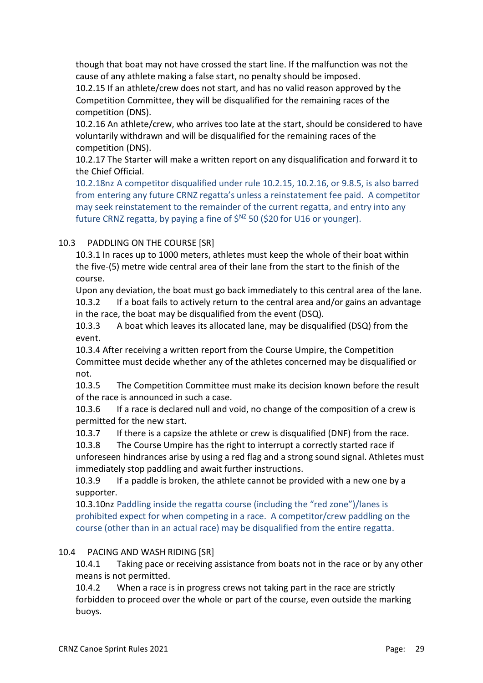though that boat may not have crossed the start line. If the malfunction was not the cause of any athlete making a false start, no penalty should be imposed.

10.2.15 If an athlete/crew does not start, and has no valid reason approved by the Competition Committee, they will be disqualified for the remaining races of the competition (DNS).

10.2.16 An athlete/crew, who arrives too late at the start, should be considered to have voluntarily withdrawn and will be disqualified for the remaining races of the competition (DNS).

10.2.17 The Starter will make a written report on any disqualification and forward it to the Chief Official.

10.2.18nz A competitor disqualified under rule 10.2.15, 10.2.16, or 9.8.5, is also barred from entering any future CRNZ regatta's unless a reinstatement fee paid. A competitor may seek reinstatement to the remainder of the current regatta, and entry into any future CRNZ regatta, by paying a fine of  $\zeta$ <sup>NZ</sup> 50 ( $\zeta$ 20 for U16 or younger).

# 10.3 PADDLING ON THE COURSE [SR]

10.3.1 In races up to 1000 meters, athletes must keep the whole of their boat within the five-(5) metre wide central area of their lane from the start to the finish of the course.

Upon any deviation, the boat must go back immediately to this central area of the lane. 10.3.2 If a boat fails to actively return to the central area and/or gains an advantage in the race, the boat may be disqualified from the event (DSQ).

10.3.3 A boat which leaves its allocated lane, may be disqualified (DSQ) from the event.

10.3.4 After receiving a written report from the Course Umpire, the Competition Committee must decide whether any of the athletes concerned may be disqualified or not.

10.3.5 The Competition Committee must make its decision known before the result of the race is announced in such a case.

10.3.6 If a race is declared null and void, no change of the composition of a crew is permitted for the new start.

10.3.7 If there is a capsize the athlete or crew is disqualified (DNF) from the race.

10.3.8 The Course Umpire has the right to interrupt a correctly started race if unforeseen hindrances arise by using a red flag and a strong sound signal. Athletes must immediately stop paddling and await further instructions.

10.3.9 If a paddle is broken, the athlete cannot be provided with a new one by a supporter.

10.3.10nz Paddling inside the regatta course (including the "red zone")/lanes is prohibited expect for when competing in a race. A competitor/crew paddling on the course (other than in an actual race) may be disqualified from the entire regatta.

# 10.4 PACING AND WASH RIDING [SR]

10.4.1 Taking pace or receiving assistance from boats not in the race or by any other means is not permitted.

10.4.2 When a race is in progress crews not taking part in the race are strictly forbidden to proceed over the whole or part of the course, even outside the marking buoys.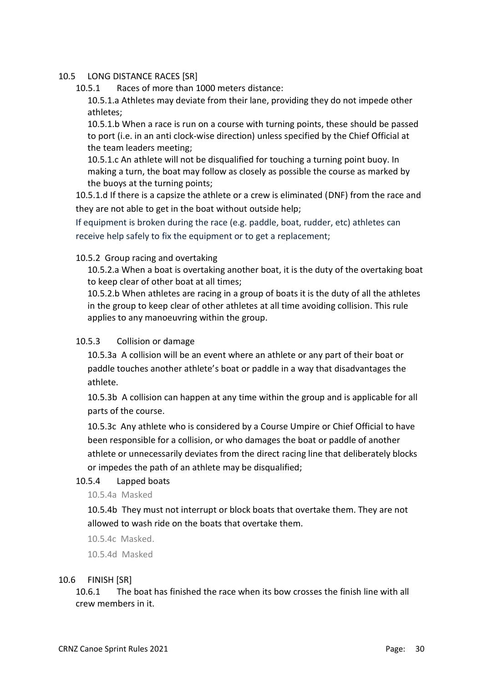#### 10.5 LONG DISTANCE RACES [SR]

10.5.1 Races of more than 1000 meters distance:

10.5.1.a Athletes may deviate from their lane, providing they do not impede other athletes;

10.5.1.b When a race is run on a course with turning points, these should be passed to port (i.e. in an anti clock-wise direction) unless specified by the Chief Official at the team leaders meeting;

10.5.1.c An athlete will not be disqualified for touching a turning point buoy. In making a turn, the boat may follow as closely as possible the course as marked by the buoys at the turning points;

10.5.1.d If there is a capsize the athlete or a crew is eliminated (DNF) from the race and they are not able to get in the boat without outside help;

If equipment is broken during the race (e.g. paddle, boat, rudder, etc) athletes can receive help safely to fix the equipment or to get a replacement;

#### 10.5.2 Group racing and overtaking

10.5.2.a When a boat is overtaking another boat, it is the duty of the overtaking boat to keep clear of other boat at all times;

10.5.2.b When athletes are racing in a group of boats it is the duty of all the athletes in the group to keep clear of other athletes at all time avoiding collision. This rule applies to any manoeuvring within the group.

#### 10.5.3 Collision or damage

10.5.3a A collision will be an event where an athlete or any part of their boat or paddle touches another athlete's boat or paddle in a way that disadvantages the athlete.

10.5.3b A collision can happen at any time within the group and is applicable for all parts of the course.

10.5.3c Any athlete who is considered by a Course Umpire or Chief Official to have been responsible for a collision, or who damages the boat or paddle of another athlete or unnecessarily deviates from the direct racing line that deliberately blocks or impedes the path of an athlete may be disqualified;

#### 10.5.4 Lapped boats

10.5.4a Masked

10.5.4b They must not interrupt or block boats that overtake them. They are not allowed to wash ride on the boats that overtake them.

10.5.4c Masked.

10.5.4d Masked

#### 10.6 FINISH [SR]

10.6.1 The boat has finished the race when its bow crosses the finish line with all crew members in it.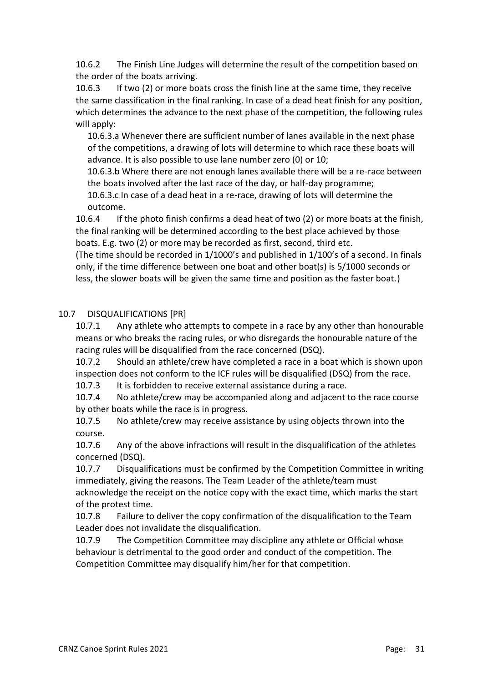10.6.2 The Finish Line Judges will determine the result of the competition based on the order of the boats arriving.

10.6.3 If two (2) or more boats cross the finish line at the same time, they receive the same classification in the final ranking. In case of a dead heat finish for any position, which determines the advance to the next phase of the competition, the following rules will apply:

10.6.3.a Whenever there are sufficient number of lanes available in the next phase of the competitions, a drawing of lots will determine to which race these boats will advance. It is also possible to use lane number zero (0) or 10;

10.6.3.b Where there are not enough lanes available there will be a re-race between the boats involved after the last race of the day, or half-day programme;

10.6.3.c In case of a dead heat in a re-race, drawing of lots will determine the outcome.

10.6.4 If the photo finish confirms a dead heat of two (2) or more boats at the finish, the final ranking will be determined according to the best place achieved by those boats. E.g. two (2) or more may be recorded as first, second, third etc.

(The time should be recorded in 1/1000's and published in 1/100's of a second. In finals only, if the time difference between one boat and other boat(s) is 5/1000 seconds or less, the slower boats will be given the same time and position as the faster boat.)

# 10.7 DISQUALIFICATIONS [PR]

10.7.1 Any athlete who attempts to compete in a race by any other than honourable means or who breaks the racing rules, or who disregards the honourable nature of the racing rules will be disqualified from the race concerned (DSQ).

10.7.2 Should an athlete/crew have completed a race in a boat which is shown upon inspection does not conform to the ICF rules will be disqualified (DSQ) from the race.

10.7.3 It is forbidden to receive external assistance during a race.

10.7.4 No athlete/crew may be accompanied along and adjacent to the race course by other boats while the race is in progress.

10.7.5 No athlete/crew may receive assistance by using objects thrown into the course.

10.7.6 Any of the above infractions will result in the disqualification of the athletes concerned (DSQ).

10.7.7 Disqualifications must be confirmed by the Competition Committee in writing immediately, giving the reasons. The Team Leader of the athlete/team must acknowledge the receipt on the notice copy with the exact time, which marks the start of the protest time.

10.7.8 Failure to deliver the copy confirmation of the disqualification to the Team Leader does not invalidate the disqualification.

10.7.9 The Competition Committee may discipline any athlete or Official whose behaviour is detrimental to the good order and conduct of the competition. The Competition Committee may disqualify him/her for that competition.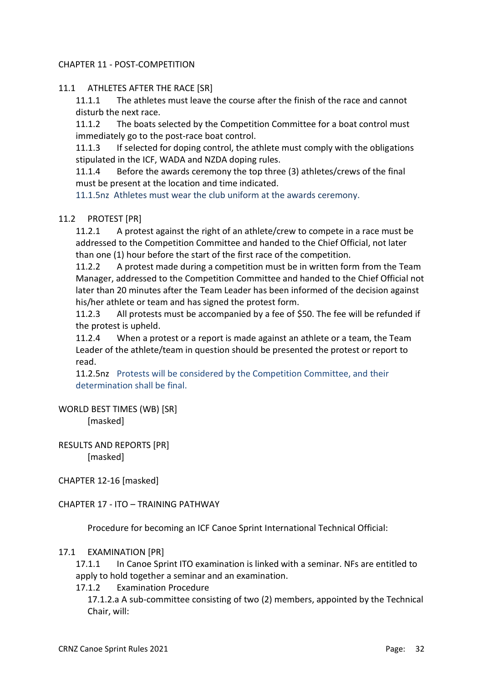# CHAPTER 11 - POST-COMPETITION

# 11.1 ATHLETES AFTER THE RACE [SR]

11.1.1 The athletes must leave the course after the finish of the race and cannot disturb the next race.

11.1.2 The boats selected by the Competition Committee for a boat control must immediately go to the post-race boat control.

11.1.3 If selected for doping control, the athlete must comply with the obligations stipulated in the ICF, WADA and NZDA doping rules.

11.1.4 Before the awards ceremony the top three (3) athletes/crews of the final must be present at the location and time indicated.

11.1.5nz Athletes must wear the club uniform at the awards ceremony.

# 11.2 PROTEST [PR]

11.2.1 A protest against the right of an athlete/crew to compete in a race must be addressed to the Competition Committee and handed to the Chief Official, not later than one (1) hour before the start of the first race of the competition.

11.2.2 A protest made during a competition must be in written form from the Team Manager, addressed to the Competition Committee and handed to the Chief Official not later than 20 minutes after the Team Leader has been informed of the decision against his/her athlete or team and has signed the protest form.

11.2.3 All protests must be accompanied by a fee of \$50. The fee will be refunded if the protest is upheld.

11.2.4 When a protest or a report is made against an athlete or a team, the Team Leader of the athlete/team in question should be presented the protest or report to read.

11.2.5nz Protests will be considered by the Competition Committee, and their determination shall be final.

# WORLD BEST TIMES (WB) [SR]

[masked]

RESULTS AND REPORTS [PR] [masked]

CHAPTER 12-16 [masked]

CHAPTER 17 - ITO – TRAINING PATHWAY

Procedure for becoming an ICF Canoe Sprint International Technical Official:

# 17.1 EXAMINATION [PR]

17.1.1 In Canoe Sprint ITO examination is linked with a seminar. NFs are entitled to apply to hold together a seminar and an examination.

#### 17.1.2 Examination Procedure

17.1.2.a A sub-committee consisting of two (2) members, appointed by the Technical Chair, will: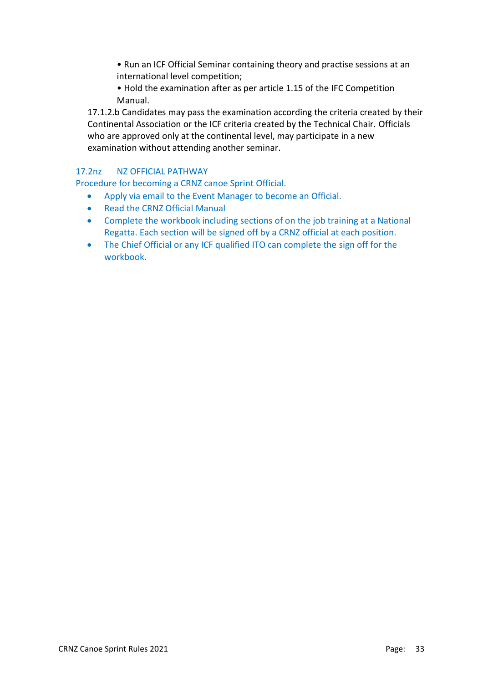- Run an ICF Official Seminar containing theory and practise sessions at an international level competition;
- Hold the examination after as per article 1.15 of the IFC Competition Manual.

17.1.2.b Candidates may pass the examination according the criteria created by their Continental Association or the ICF criteria created by the Technical Chair. Officials who are approved only at the continental level, may participate in a new examination without attending another seminar.

# 17.2nz NZ OFFICIAL PATHWAY

Procedure for becoming a CRNZ canoe Sprint Official.

- Apply via email to the Event Manager to become an Official.
- Read the CRNZ Official Manual
- Complete the workbook including sections of on the job training at a National Regatta. Each section will be signed off by a CRNZ official at each position.
- The Chief Official or any ICF qualified ITO can complete the sign off for the workbook.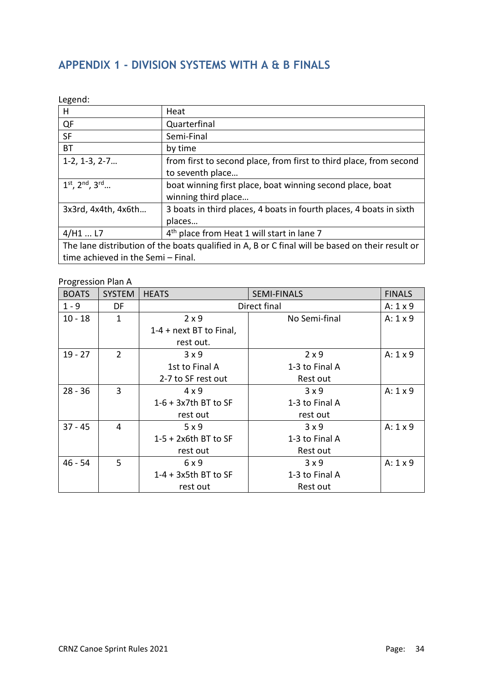# **APPENDIX 1 - DIVISION SYSTEMS WITH A & B FINALS**

Legend:

| н                                  | Heat                                                                                             |  |  |  |
|------------------------------------|--------------------------------------------------------------------------------------------------|--|--|--|
| QF                                 | Quarterfinal                                                                                     |  |  |  |
| <b>SF</b>                          | Semi-Final                                                                                       |  |  |  |
| ВT                                 | by time                                                                                          |  |  |  |
| $1-2, 1-3, 2-7$                    | from first to second place, from first to third place, from second                               |  |  |  |
|                                    | to seventh place                                                                                 |  |  |  |
| $1^{st}$ , $2^{nd}$ , $3^{rd}$     | boat winning first place, boat winning second place, boat                                        |  |  |  |
|                                    | winning third place                                                                              |  |  |  |
| 3x3rd, 4x4th, 4x6th                | 3 boats in third places, 4 boats in fourth places, 4 boats in sixth                              |  |  |  |
|                                    | places                                                                                           |  |  |  |
| $4/H1$ L7                          | 4 <sup>th</sup> place from Heat 1 will start in lane 7                                           |  |  |  |
|                                    | The lane distribution of the boats qualified in A, B or C final will be based on their result or |  |  |  |
| time achieved in the Semi - Final. |                                                                                                  |  |  |  |

# Progression Plan A

| <b>BOATS</b> | <b>SYSTEM</b>  | <b>HEATS</b>              | <b>SEMI-FINALS</b> | <b>FINALS</b>   |
|--------------|----------------|---------------------------|--------------------|-----------------|
| $1 - 9$      | DF             | Direct final              |                    |                 |
| $10 - 18$    | 1              | $2 \times 9$              | No Semi-final      | $A: 1 \times 9$ |
|              |                | $1-4$ + next BT to Final, |                    |                 |
|              |                | rest out.                 |                    |                 |
| $19 - 27$    | $\overline{2}$ | 3x9                       | $2 \times 9$       | $A: 1 \times 9$ |
|              |                | 1st to Final A            | 1-3 to Final A     |                 |
|              |                | 2-7 to SF rest out        | Rest out           |                 |
| $28 - 36$    | 3              | $4 \times 9$              | $3 \times 9$       | $A: 1 \times 9$ |
|              |                | $1-6 + 3x$ 7th BT to SF   | 1-3 to Final A     |                 |
|              |                | rest out                  | rest out           |                 |
| $37 - 45$    | 4              | 5 x 9                     | $3 \times 9$       | A: $1 \times 9$ |
|              |                | $1-5 + 2x6$ th BT to SF   | 1-3 to Final A     |                 |
|              |                | rest out                  | Rest out           |                 |
| $46 - 54$    | 5              | 6x9                       | $3 \times 9$       | $A: 1 \times 9$ |
|              |                | $1-4 + 3x$ 5th BT to SF   | 1-3 to Final A     |                 |
|              |                | rest out                  | Rest out           |                 |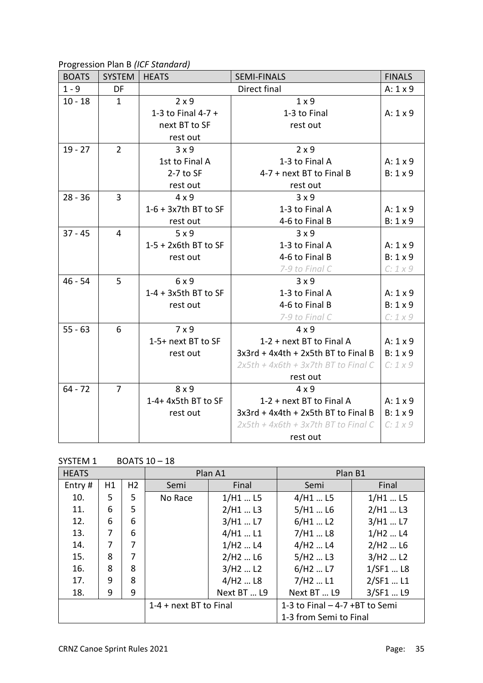Progression Plan B *(ICF Standard)*

| <b>BOATS</b> | <b>SYSTEM</b>  | <b>HEATS</b>            | <b>SEMI-FINALS</b>                    | <b>FINALS</b>   |
|--------------|----------------|-------------------------|---------------------------------------|-----------------|
| $1 - 9$      | DF             |                         | Direct final                          | $A: 1 \times 9$ |
| $10 - 18$    | $\mathbf{1}$   | $2 \times 9$            | $1 \times 9$                          |                 |
|              |                | 1-3 to Final $4-7 +$    | 1-3 to Final                          | $A: 1 \times 9$ |
|              |                | next BT to SF           | rest out                              |                 |
|              |                | rest out                |                                       |                 |
| $19 - 27$    | $\overline{2}$ | 3x9                     | $2 \times 9$                          |                 |
|              |                | 1st to Final A          | 1-3 to Final A                        | $A: 1 \times 9$ |
|              |                | $2-7$ to SF             | 4-7 + next BT to Final B              | $B: 1 \times 9$ |
|              |                | rest out                | rest out                              |                 |
| $28 - 36$    | 3              | $4 \times 9$            | 3x9                                   |                 |
|              |                | $1-6 + 3x$ 7th BT to SF | 1-3 to Final A                        | $A: 1 \times 9$ |
|              |                | rest out                | 4-6 to Final B                        | $B: 1 \times 9$ |
| $37 - 45$    | $\overline{4}$ | 5x9                     | 3x9                                   |                 |
|              |                | $1-5 + 2x6$ th BT to SF | 1-3 to Final A                        | $A: 1 \times 9$ |
|              |                | rest out                | 4-6 to Final B                        | $B: 1 \times 9$ |
|              |                |                         | 7-9 to Final C                        | $C: 1 \times 9$ |
| $46 - 54$    | 5              | 6 x 9                   | 3x9                                   |                 |
|              |                | $1-4 + 3x5$ th BT to SF | 1-3 to Final A                        | A: $1 \times 9$ |
|              |                | rest out                | 4-6 to Final B                        | $B: 1 \times 9$ |
|              |                |                         | 7-9 to Final C                        | $C: 1 \times 9$ |
| $55 - 63$    | 6              | $7 \times 9$            | $4 \times 9$                          |                 |
|              |                | 1-5+ next BT to SF      | 1-2 + next BT to Final A              | $A: 1 \times 9$ |
|              |                | rest out                | 3x3rd + 4x4th + 2x5th BT to Final B   | $B: 1 \times 9$ |
|              |                |                         | $2x5th + 4x6th + 3x7th$ BT to Final C | $C: 1 \times 9$ |
|              |                |                         | rest out                              |                 |
| $64 - 72$    | $\overline{7}$ | 8x9                     | $4 \times 9$                          |                 |
|              |                | 1-4+ 4x5th BT to SF     | 1-2 + next BT to Final A              | $A: 1 \times 9$ |
|              |                | rest out                | 3x3rd + 4x4th + 2x5th BT to Final B   | $B: 1 \times 9$ |
|              |                |                         | $2x5th + 4x6th + 3x7th$ BT to Final C | $C: 1 \times 9$ |
|              |                |                         | rest out                              |                 |

| <b>HEATS</b> |    |                |                        | Plan A1                         | Plan B1                          |           |  |
|--------------|----|----------------|------------------------|---------------------------------|----------------------------------|-----------|--|
| Entry#       | H1 | H <sub>2</sub> | Semi                   | Final                           | Semi                             | Final     |  |
| 10.          | 5  | 5              | No Race                | $1/H1$ L5                       | $4/H1$ L5                        | $1/H1$ L5 |  |
| 11.          | 6  | 5              |                        | $2/H1$ L3                       | $5/H1$ L6                        | $2/H1$ L3 |  |
| 12.          | 6  | 6              |                        | 3/H1  L7                        | 6/H1L2                           | 3/H1  L7  |  |
| 13.          | 7  | 6              |                        | $4/H1$ L1                       | $7/H1$ L8                        | $1/H2$ L4 |  |
| 14.          | 7  | 7              |                        | $1/H2$ L4                       | $4/$ H2  L4                      | $2/H2$ L6 |  |
| 15.          | 8  | 7              |                        | 2/H2L6                          | $5/H2$ L3                        | $3/H2$ L2 |  |
| 16.          | 8  | 8              |                        | 3/H <sub>2</sub> L <sub>2</sub> | $6/H2$ L7                        | 1/SF1  L8 |  |
| 17.          | 9  | 8              |                        | $4/H2$ L8                       | $7/H2$ L1                        | 2/SF1  L1 |  |
| 18.          | 9  | 9              |                        | Next BT  L9                     | Next BT  L9                      | 3/SF1  L9 |  |
|              |    |                | 1-4 + next BT to Final |                                 | 1-3 to Final $-$ 4-7 +BT to Semi |           |  |
|              |    |                |                        |                                 | 1-3 from Semi to Final           |           |  |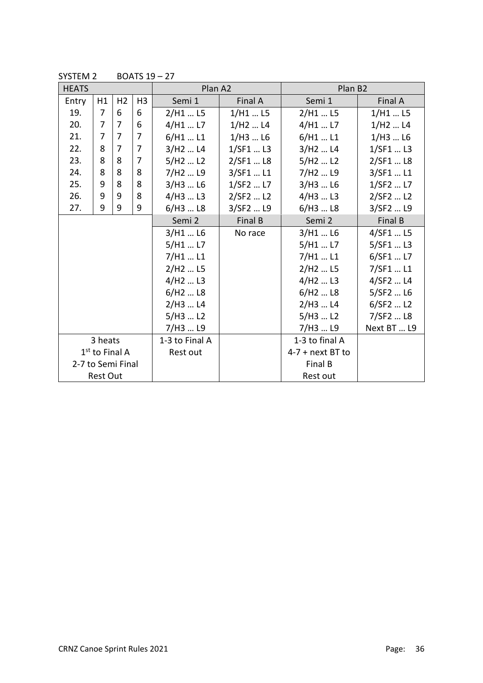| <b>HEATS</b>      |                |                |                | Plan A2                         |              | Plan B <sub>2</sub>             |              |  |
|-------------------|----------------|----------------|----------------|---------------------------------|--------------|---------------------------------|--------------|--|
| Entry             | H1             | H <sub>2</sub> | H <sub>3</sub> | Semi 1                          | Final A      | Semi 1                          | Final A      |  |
| 19.               | $\overline{7}$ | 6              | 6              | 2/H1  L5                        | $1/H1$ L5    | 2/H1  L5                        | $1/H1$ L5    |  |
| 20.               | 7              | 7              | 6              | 4/H1  L7                        | $1/H2$ L4    | $4/H1$ L7                       | $1/H2$ L4    |  |
| 21.               | 7              | 7              | $\overline{7}$ | 6/H1L1                          | $1/H3$ L6    | $6/H1$ L1                       | $1/H3$ L6    |  |
| 22.               | 8              | $\overline{7}$ | $\overline{7}$ | 3/H <sub>2</sub> L <sub>4</sub> | 1/SF1  L3    | 3/H <sub>2</sub> L <sub>4</sub> | 1/SF1  L3    |  |
| 23.               | 8              | 8              | $\overline{7}$ | 5/H2L2                          | 2/SF1  L8    | 5/H2L2                          | 2/SF1  L8    |  |
| 24.               | 8              | 8              | 8              | 7/H <sub>2</sub> L <sub>9</sub> | 3/SF1  L1    | 7/H <sub>2</sub> L <sub>9</sub> | 3/SF1  L1    |  |
| 25.               | 9              | 8              | 8              | $3/H3$ L6                       | $1/$ SF2  L7 | $3/H3$ L6                       | $1/$ SF2  L7 |  |
| 26.               | 9              | 9              | 8              | 4/H3L3                          | 2/SF2  L2    | $4/H3$ L3                       | 2/SF2  L2    |  |
| 27.               | 9              | 9              | 9              | 6/H3L8                          | 3/SF2  L9    | 6/H3L8                          | 3/SF2  L9    |  |
|                   |                |                |                | Semi 2                          | Final B      | Semi 2                          | Final B      |  |
|                   |                |                |                | $3/H1$ L6                       | No race      | 3/H1  L6                        | 4/SF1  L5    |  |
|                   |                |                |                | $5/H1$ L7                       |              | $5/H1$ L7                       | 5/SF1  L3    |  |
|                   |                |                |                | 7/H1L1                          |              | 7/H1  L1                        | 6/SF1  L7    |  |
|                   |                |                |                | 2/H <sub>2</sub> L <sub>5</sub> |              | 2/H <sub>2</sub> L <sub>5</sub> | 7/SF1  L1    |  |
|                   |                |                |                | $4/$ H2  L3                     |              | $4/$ H2  L3                     | 4/SF2  L4    |  |
|                   |                |                |                | 6/H2L8                          |              | 6/H2L8                          | 5/SF2  L6    |  |
|                   |                |                |                | 2/H3  L4                        |              | $2/H3$ L4                       | $6/$ SF2  L2 |  |
|                   |                |                |                | $5/H3$ L2                       |              | 5/H3  L2                        | 7/SF2  L8    |  |
|                   |                |                |                | 7/H3  L9                        |              | 7/H3  L9                        | Next BT  L9  |  |
| 3 heats           |                |                |                | 1-3 to Final A                  |              | 1-3 to final A                  |              |  |
| $1st$ to Final A  |                |                |                | Rest out                        |              | $4-7$ + next BT to              |              |  |
| 2-7 to Semi Final |                |                |                |                                 |              | Final B                         |              |  |
| <b>Rest Out</b>   |                |                |                |                                 |              | Rest out                        |              |  |

SYSTEM 2 BOATS  $19 - 27$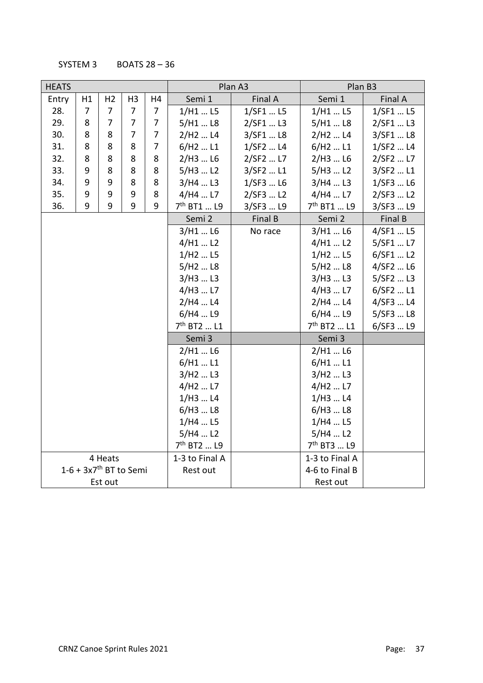SYSTEM 3 BOATS  $28 - 36$ 

| <b>HEATS</b>                         |    |                |                |                | Plan A3                         |           | Plan B3                         |           |  |
|--------------------------------------|----|----------------|----------------|----------------|---------------------------------|-----------|---------------------------------|-----------|--|
| Entry                                | H1 | H <sub>2</sub> | H <sub>3</sub> | H4             | Semi 1                          | Final A   | Semi 1                          | Final A   |  |
| 28.                                  | 7  | $\overline{7}$ | 7              | $\overline{7}$ | $1/H1$ L5                       | 1/SF1  L5 | $1/H1$ L5                       | 1/SF1  L5 |  |
| 29.                                  | 8  | $\overline{7}$ | 7              | 7              | $5/H1$ L8                       | 2/SF1  L3 | $5/H1$ L8                       | 2/SF1  L3 |  |
| 30.                                  | 8  | 8              | 7              | 7              | 2/H <sub>2</sub> L <sub>4</sub> | 3/SF1  L8 | 2/H <sub>2</sub> L <sub>4</sub> | 3/SF1  L8 |  |
| 31.                                  | 8  | 8              | 8              | 7              | $6/H2$ L1                       | 1/SF2  L4 | $6/H2$ L1                       | 1/SF2  L4 |  |
| 32.                                  | 8  | 8              | 8              | 8              | $2/H3$ L6                       | 2/SF2  L7 | $2/H3$ L6                       | 2/SF2  L7 |  |
| 33.                                  | 9  | 8              | 8              | 8              | 5/H3  L2                        | 3/SF2  L1 | $5/H3$ L2                       | 3/SF2  L1 |  |
| 34.                                  | 9  | 9              | 8              | 8              | 3/H4  L3                        | 1/SF3  L6 | 3/H4L3                          | 1/SF3  L6 |  |
| 35.                                  | 9  | 9              | 9              | 8              | 4/H4  L7                        | 2/SF3  L2 | 4/H4  L7                        | 2/SF3  L2 |  |
| 36.                                  | 9  | 9              | 9              | 9              | 7 <sup>th</sup> BT1  L9         | 3/SF3  L9 | 7 <sup>th</sup> BT1  L9         | 3/SF3  L9 |  |
|                                      |    |                |                |                | Semi 2                          | Final B   | Semi 2                          | Final B   |  |
|                                      |    |                |                |                | $3/H1$ L6                       | No race   | $3/H1$ L6                       | 4/SF1  L5 |  |
|                                      |    |                |                |                | 4/H1  L2                        |           | 4/H1  L2                        | 5/SF1  L7 |  |
|                                      |    |                |                |                | $1/H2$ L5                       |           | 1/H2L5                          | 6/SF1  L2 |  |
|                                      |    |                |                |                | 5/H <sub>2</sub> L <sub>8</sub> |           | $5/H2$ L8                       | 4/SF2  L6 |  |
|                                      |    |                |                |                | $3/H3$ L3                       |           | 3/H3  L3                        | 5/SF2  L3 |  |
|                                      |    |                |                |                | 4/H3  L7                        |           | 4/H3  L7                        | 6/SF2  L1 |  |
|                                      |    |                |                |                | 2/H4  L4                        |           | 2/H4  L4                        | 4/SF3  L4 |  |
|                                      |    |                |                |                | 6/H4  L9                        |           | 6/H4L9                          | 5/SF3  L8 |  |
|                                      |    |                |                |                | 7 <sup>th</sup> BT2  L1         |           | 7 <sup>th</sup> BT2  L1         | 6/SF3  L9 |  |
|                                      |    |                |                |                | Semi 3                          |           | Semi 3                          |           |  |
|                                      |    |                |                |                | $2/H1$ L6                       |           | $2/H1$ L6                       |           |  |
|                                      |    |                |                |                | $6/H1$ L1                       |           | $6/H1$ L1                       |           |  |
|                                      |    |                |                |                | 3/H <sub>2</sub> L <sub>3</sub> |           | 3/H2L3                          |           |  |
|                                      |    |                |                |                | 4/H <sub>2</sub> L <sub>7</sub> |           | 4/H2L7                          |           |  |
|                                      |    |                |                |                | 1/H3L4                          |           | $1/H3$ L4                       |           |  |
|                                      |    |                |                |                | 6/H3L8                          |           | 6/H3L8                          |           |  |
|                                      |    |                |                |                | 1/H4L5                          |           | 1/H4L5                          |           |  |
|                                      |    |                |                |                | $5/H4$ L2                       |           | $5/H4$ L2                       |           |  |
|                                      |    |                |                |                | 7 <sup>th</sup> BT2  L9         |           | 7 <sup>th</sup> BT3  L9         |           |  |
|                                      |    | 4 Heats        |                |                | 1-3 to Final A                  |           | 1-3 to Final A                  |           |  |
| $1-6 + 3x7$ <sup>th</sup> BT to Semi |    |                |                |                | Rest out                        |           | 4-6 to Final B                  |           |  |
| Est out                              |    |                |                |                |                                 |           | Rest out                        |           |  |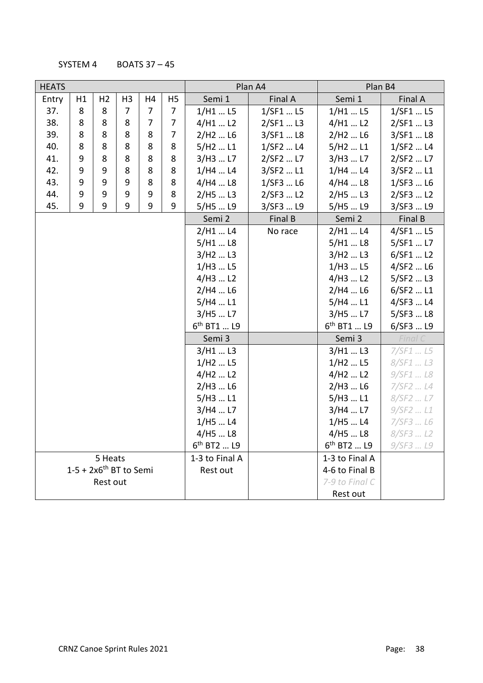SYSTEM 4 BOATS 37 – 45

| <b>HEATS</b>                         |    |                |                |                |                | Plan A4                         |           | Plan B4                         |           |
|--------------------------------------|----|----------------|----------------|----------------|----------------|---------------------------------|-----------|---------------------------------|-----------|
| Entry                                | H1 | H <sub>2</sub> | H <sub>3</sub> | H4             | H <sub>5</sub> | Semi 1                          | Final A   | Semi 1                          | Final A   |
| 37.                                  | 8  | 8              | 7              | $\overline{7}$ | 7              | $1/H1$ L5                       | 1/SF1  L5 | 1/H1L5                          | 1/SF1  L5 |
| 38.                                  | 8  | 8              | 8              | 7              | 7              | $4/H1$ L2                       | 2/SF1  L3 | $4/H1$ L2                       | 2/SF1  L3 |
| 39.                                  | 8  | 8              | 8              | 8              | $\overline{7}$ | $2/H2$ L6                       | 3/SF1  L8 | 2/H <sub>2</sub> L <sub>6</sub> | 3/SF1  L8 |
| 40.                                  | 8  | 8              | 8              | 8              | 8              | 5/H2  L1                        | 1/SF2  L4 | 5/H2  L1                        | 1/SF2  L4 |
| 41.                                  | 9  | 8              | 8              | 8              | 8              | 3/H3  L7                        | 2/SF2  L7 | 3/H3  L7                        | 2/SF2  L7 |
| 42.                                  | 9  | 9              | 8              | 8              | 8              | 1/H4L4                          | 3/SF2  L1 | $1/H4$ L4                       | 3/SF2  L1 |
| 43.                                  | 9  | 9              | 9              | 8              | 8              | 4/H4  L8                        | 1/SF3  L6 | 4/H4  L8                        | 1/SF3  L6 |
| 44.                                  | 9  | 9              | 9              | 9              | 8              | 2/H5  L3                        | 2/SF3  L2 | 2/H5  L3                        | 2/SF3  L2 |
| 45.                                  | 9  | 9              | 9              | 9              | 9              | 5/H5  L9                        | 3/SF3  L9 | 5/H5  L9                        | 3/SF3  L9 |
|                                      |    |                |                |                |                | Semi 2                          | Final B   | Semi 2                          | Final B   |
|                                      |    |                |                |                |                | 2/H1  L4                        | No race   | 2/H1  L4                        | 4/SF1  L5 |
|                                      |    |                |                |                |                | $5/H1$ L8                       |           | 5/H1  L8                        | 5/SF1  L7 |
|                                      |    |                |                |                |                | 3/H <sub>2</sub> L <sub>3</sub> |           | 3/H2  L3                        | 6/SF1  L2 |
|                                      |    |                |                |                |                | 1/H3  L5                        |           | 1/H3  L5                        | 4/SF2  L6 |
|                                      |    |                |                |                |                | 4/H3  L2                        |           | 4/H3  L2                        | 5/SF2  L3 |
|                                      |    |                |                |                |                | $2/H4$ L6                       |           | $2/H4$ L6                       | 6/SF2  L1 |
|                                      |    |                |                |                |                | 5/H4  L1                        |           | 5/H4  L1                        | 4/SF3  L4 |
|                                      |    |                |                |                |                | 3/H5  L7                        |           | 3/H5  L7                        | 5/SF3  L8 |
|                                      |    |                |                |                |                | 6 <sup>th</sup> BT1  L9         |           | 6 <sup>th</sup> BT1  L9         | 6/SF3  L9 |
|                                      |    |                |                |                |                | Semi 3                          |           | Semi 3                          | Final C   |
|                                      |    |                |                |                |                | 3/H1  L3                        |           | 3/H1  L3                        | 7/SF1  L5 |
|                                      |    |                |                |                |                | $1/H2$ L5                       |           | $1/H2$ L5                       | 8/SF1  L3 |
|                                      |    |                |                |                |                | 4/H2  L2                        |           | 4/H2  L2                        | 9/SF1  L8 |
|                                      |    |                |                |                |                | 2/H3  L6                        |           | 2/H3  L6                        | 7/SF2  L4 |
|                                      |    |                |                |                |                | $5/H3$ L1                       |           | 5/H3  L1                        | 8/SF2  L7 |
|                                      |    |                |                |                |                | 3/H4  L7                        |           | 3/H4  L7                        | 9/SF2  L1 |
|                                      |    |                |                |                |                | 1/H5  L4                        |           | 1/H5  L4                        | 7/SF3  L6 |
|                                      |    |                |                |                |                | $4/$ H5  L8                     |           | 4/H5  L8                        | 8/SF3  L2 |
|                                      |    |                |                |                |                | $6^{th}$ BT2  L9                |           | 6 <sup>th</sup> BT2  L9         | 9/SF3  L9 |
| 5 Heats                              |    |                |                |                |                | 1-3 to Final A                  |           | 1-3 to Final A                  |           |
| $1-5 + 2x6$ <sup>th</sup> BT to Semi |    |                |                |                |                | Rest out                        |           | 4-6 to Final B                  |           |
|                                      |    | Rest out       |                |                |                |                                 |           | 7-9 to Final C                  |           |
|                                      |    |                |                |                |                |                                 |           | Rest out                        |           |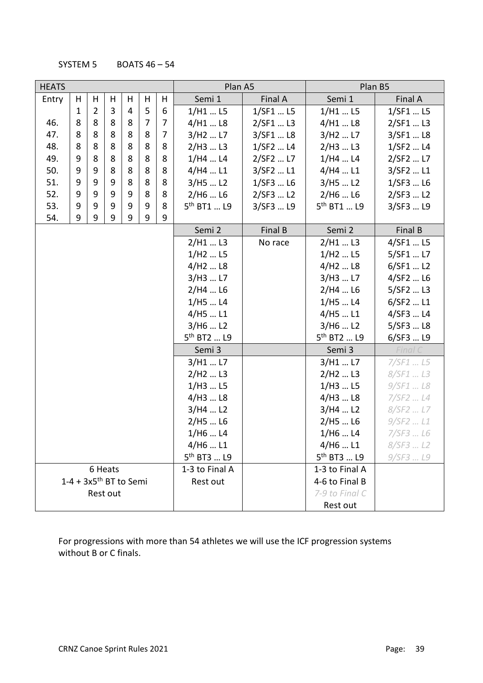SYSTEM 5 BOATS  $46 - 54$ 

| <b>HEATS</b> |                                      |                |   |   |                |   | Plan A5                         |           | Plan B5                         |              |  |
|--------------|--------------------------------------|----------------|---|---|----------------|---|---------------------------------|-----------|---------------------------------|--------------|--|
| Entry        | H                                    | Н              | H | H | H              | Н | Semi 1                          | Final A   | Semi 1                          | Final A      |  |
|              | 1                                    | $\overline{2}$ | 3 | 4 | 5              | 6 | $1/H1$ L5                       | 1/SF1  L5 | $1/H1$ L5                       | $1/$ SF1  L5 |  |
| 46.          | 8                                    | 8              | 8 | 8 | $\overline{7}$ | 7 | $4/H1$ L8                       | 2/SF1  L3 | $4/H1$ L8                       | 2/SF1  L3    |  |
| 47.          | 8                                    | 8              | 8 | 8 | 8              | 7 | 3/H <sub>2</sub> L <sub>7</sub> | 3/SF1  L8 | 3/H <sub>2</sub> L <sub>7</sub> | 3/SF1  L8    |  |
| 48.          | 8                                    | 8              | 8 | 8 | 8              | 8 | 2/H3  L3                        | 1/SF2  L4 | 2/H3  L3                        | 1/SF2  L4    |  |
| 49.          | 9                                    | 8              | 8 | 8 | 8              | 8 | 1/H4L4                          | 2/SF2  L7 | 1/H4  L4                        | 2/SF2  L7    |  |
| 50.          | 9                                    | 9              | 8 | 8 | 8              | 8 | $4/$ H4  L1                     | 3/SF2  L1 | 4/H4  L1                        | 3/SF2  L1    |  |
| 51.          | 9                                    | 9              | 9 | 8 | 8              | 8 | 3/H5  L2                        | 1/SF3  L6 | 3/H5  L2                        | 1/SF3  L6    |  |
| 52.          | 9                                    | 9              | 9 | 9 | 8              | 8 | $2/$ H6  L6                     | 2/SF3  L2 | 2/H6  L6                        | 2/SF3  L2    |  |
| 53.          | 9                                    | 9              | 9 | 9 | 9              | 8 | 5 <sup>th</sup> BT1  L9         | 3/SF3  L9 | 5 <sup>th</sup> BT1  L9         | 3/SF3  L9    |  |
| 54.          | 9                                    | 9              | 9 | 9 | 9              | 9 |                                 |           |                                 |              |  |
|              |                                      |                |   |   |                |   | Semi 2                          | Final B   | Semi 2                          | Final B      |  |
|              |                                      |                |   |   |                |   | $2/H1$ L3                       | No race   | 2/H1  L3                        | 4/SF1  L5    |  |
|              |                                      |                |   |   |                |   | $1/H2$ L5                       |           | 1/H <sub>2</sub> L <sub>5</sub> | 5/SF1  L7    |  |
|              |                                      |                |   |   |                |   | 4/H <sub>2</sub> L <sub>8</sub> |           | 4/H <sub>2</sub> L <sub>8</sub> | 6/SF1  L2    |  |
|              |                                      |                |   |   |                |   | 3/H3  L7                        |           | 3/H3  L7                        | 4/SF2  L6    |  |
|              |                                      |                |   |   |                |   | $2/H4$ L6                       |           | $2/H4$ L6                       | 5/SF2  L3    |  |
|              |                                      |                |   |   |                |   | 1/H5  L4                        |           | 1/H5  L4                        | 6/SF2  L1    |  |
|              |                                      |                |   |   |                |   | $4/$ H5  L1                     |           | 4/H5  L1                        | 4/SF3  L4    |  |
|              |                                      |                |   |   |                |   | 3/H6  L2                        |           | 3/H6  L2                        | 5/SF3  L8    |  |
|              |                                      |                |   |   |                |   | 5 <sup>th</sup> BT2  L9         |           | $5^{th}$ BT2  L9                | 6/SF3  L9    |  |
|              |                                      |                |   |   |                |   | Semi 3                          |           | Semi 3                          | Final C      |  |
|              |                                      |                |   |   |                |   | 3/H1  L7                        |           | 3/H1  L7                        | 7/SF1  L5    |  |
|              |                                      |                |   |   |                |   | 2/H <sub>2</sub> L <sub>3</sub> |           | 2/H <sub>2</sub> L <sub>3</sub> | 8/SF1  L3    |  |
|              |                                      |                |   |   |                |   | $1/H3$ L5                       |           | 1/H3  L5                        | 9/SF1  L8    |  |
|              |                                      |                |   |   |                |   | 4/H3  L8                        |           | 4/H3  L8                        | 7/SF2  L4    |  |
|              |                                      |                |   |   |                |   | 3/H4  L2                        |           | 3/H4  L2                        | 8/SF2  L7    |  |
|              |                                      |                |   |   |                |   | $2/H5$ L6                       |           | 2/H5L6                          | 9/SF2  L1    |  |
|              |                                      |                |   |   |                |   | 1/H6  L4                        |           | 1/H6  L4                        | 7/SF3  L6    |  |
|              |                                      |                |   |   |                |   | $4/$ H6  L1                     |           | 4/H6  L1                        | 8/SF3  L2    |  |
|              |                                      |                |   |   |                |   | $5^{th}$ BT3  L9                |           | 5 <sup>th</sup> BT3  L9         | 9/SF3  L9    |  |
|              |                                      | 6 Heats        |   |   |                |   | 1-3 to Final A                  |           | 1-3 to Final A                  |              |  |
|              | $1-4 + 3x5$ <sup>th</sup> BT to Semi |                |   |   |                |   | Rest out                        |           | 4-6 to Final B                  |              |  |
|              |                                      | Rest out       |   |   |                |   |                                 |           | 7-9 to Final C                  |              |  |
|              |                                      |                |   |   |                |   |                                 |           | Rest out                        |              |  |

For progressions with more than 54 athletes we will use the ICF progression systems without B or C finals.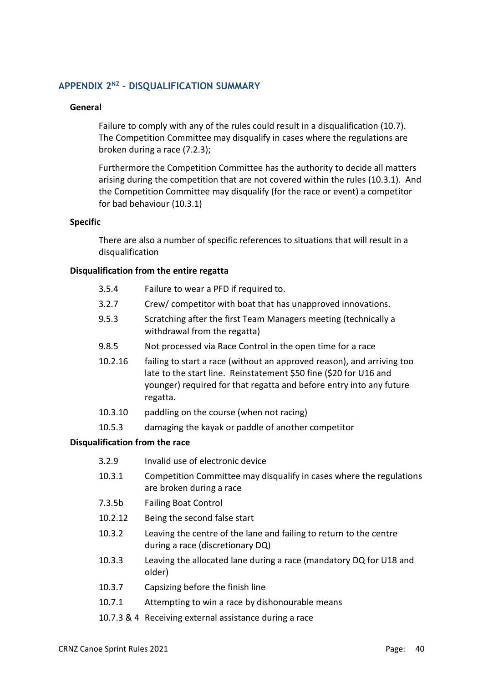# **APPENDIX 2NZ – DISQUALIFICATION SUMMARY**

#### **General**

Failure to comply with any of the rules could result in a disqualification (10.7). The Competition Committee may disqualify in cases where the regulations are broken during a race (7.2.3);

Furthermore the Competition Committee has the authority to decide all matters arising during the competition that are not covered within the rules (10.3.1). And the Competition Committee may disqualify (for the race or event) a competitor for bad behaviour (10.3.1)

#### **Specific**

There are also a number of specific references to situations that will result in a disqualification

#### **Disqualification from the entire regatta**

- 3.5.4 Failure to wear a PFD if required to.
- 3.2.7 Crew/ competitor with boat that has unapproved innovations.
- 9.5.3 Scratching after the first Team Managers meeting (technically a withdrawal from the regatta)
- 9.8.5 Not processed via Race Control in the open time for a race
- 10.2.16 failing to start a race (without an approved reason), and arriving too late to the start line. Reinstatement \$50 fine (\$20 for U16 and younger) required for that regatta and before entry into any future regatta.
- 10.3.10 paddling on the course (when not racing)
- 10.5.3 damaging the kayak or paddle of another competitor

#### **Disqualification from the race**

- 3.2.9 Invalid use of electronic device
- 10.3.1 Competition Committee may disqualify in cases where the regulations are broken during a race
- 7.3.5b Failing Boat Control
- 10.2.12 Being the second false start
- 10.3.2 Leaving the centre of the lane and failing to return to the centre during a race (discretionary DQ)
- 10.3.3 Leaving the allocated lane during a race (mandatory DQ for U18 and older)
- 10.3.7 Capsizing before the finish line
- 10.7.1 Attempting to win a race by dishonourable means
- 10.7.3 & 4 Receiving external assistance during a race